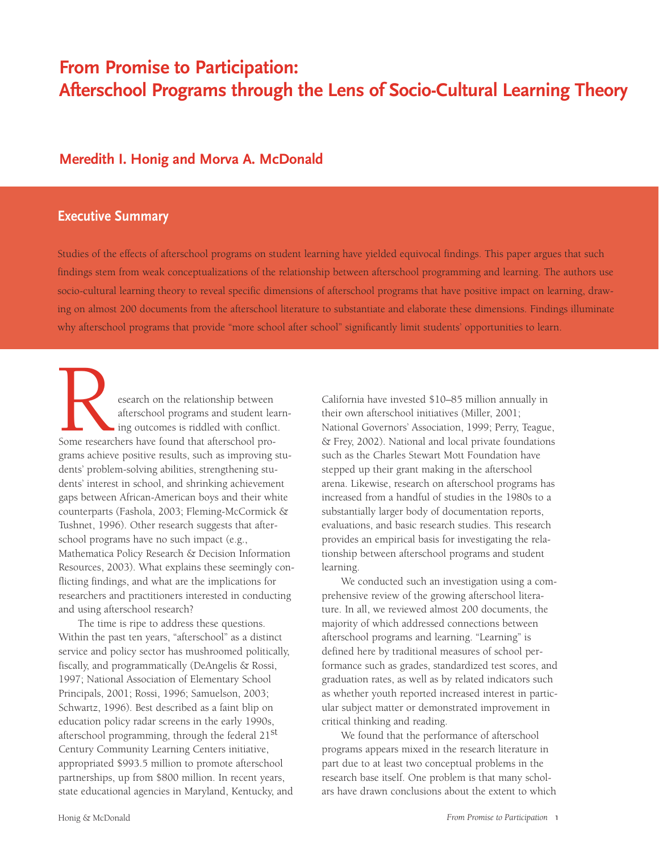# **From Promise to Participation: Afterschool Programs through the Lens of Socio-Cultural Learning Theory**

# **Meredith I. Honig and Morva A. McDonald**

# **Executive Summary**

Studies of the effects of afterschool programs on student learning have yielded equivocal findings. This paper argues that such findings stem from weak conceptualizations of the relationship between afterschool programming and learning. The authors use socio-cultural learning theory to reveal specific dimensions of afterschool programs that have positive impact on learning, drawing on almost 200 documents from the afterschool literature to substantiate and elaborate these dimensions. Findings illuminate why afterschool programs that provide "more school after school" significantly limit students' opportunities to learn.

esearch on the relationship between afterschool programs and student learning outcomes is riddled with conflict. Some researchers have found that afterschool programs achieve positive results, such as improving students' problem-solving abilities, strengthening students' interest in school, and shrinking achievement gaps between African-American boys and their white counterparts (Fashola, 2003; Fleming-McCormick & Tushnet, 1996). Other research suggests that afterschool programs have no such impact (e.g., Mathematica Policy Research & Decision Information Resources, 2003). What explains these seemingly conflicting findings, and what are the implications for researchers and practitioners interested in conducting and using afterschool research?

The time is ripe to address these questions. Within the past ten years, "afterschool" as a distinct service and policy sector has mushroomed politically, fiscally, and programmatically (DeAngelis & Rossi, 1997; National Association of Elementary School Principals, 2001; Rossi, 1996; Samuelson, 2003; Schwartz, 1996). Best described as a faint blip on education policy radar screens in the early 1990s, afterschool programming, through the federal 21st Century Community Learning Centers initiative, appropriated \$993.5 million to promote afterschool partnerships, up from \$800 million. In recent years, state educational agencies in Maryland, Kentucky, and California have invested \$10–85 million annually in their own afterschool initiatives (Miller, 2001; National Governors' Association, 1999; Perry, Teague, & Frey, 2002). National and local private foundations such as the Charles Stewart Mott Foundation have stepped up their grant making in the afterschool arena. Likewise, research on afterschool programs has increased from a handful of studies in the 1980s to a substantially larger body of documentation reports, evaluations, and basic research studies. This research provides an empirical basis for investigating the relationship between afterschool programs and student learning.

We conducted such an investigation using a comprehensive review of the growing afterschool literature. In all, we reviewed almost 200 documents, the majority of which addressed connections between afterschool programs and learning. "Learning" is defined here by traditional measures of school performance such as grades, standardized test scores, and graduation rates, as well as by related indicators such as whether youth reported increased interest in particular subject matter or demonstrated improvement in critical thinking and reading.

We found that the performance of afterschool programs appears mixed in the research literature in part due to at least two conceptual problems in the research base itself. One problem is that many scholars have drawn conclusions about the extent to which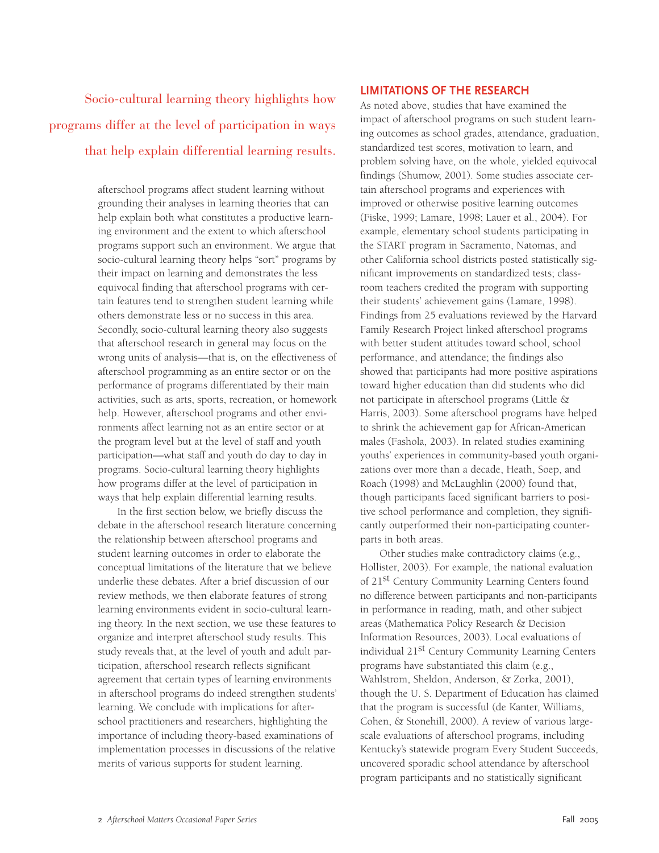Socio-cultural learning theory highlights how programs differ at the level of participation in ways that help explain differential learning results.

> afterschool programs affect student learning without grounding their analyses in learning theories that can help explain both what constitutes a productive learning environment and the extent to which afterschool programs support such an environment. We argue that socio-cultural learning theory helps "sort" programs by their impact on learning and demonstrates the less equivocal finding that afterschool programs with certain features tend to strengthen student learning while others demonstrate less or no success in this area. Secondly, socio-cultural learning theory also suggests that afterschool research in general may focus on the wrong units of analysis—that is, on the effectiveness of afterschool programming as an entire sector or on the performance of programs differentiated by their main activities, such as arts, sports, recreation, or homework help. However, afterschool programs and other environments affect learning not as an entire sector or at the program level but at the level of staff and youth participation—what staff and youth do day to day in programs. Socio-cultural learning theory highlights how programs differ at the level of participation in ways that help explain differential learning results.

> In the first section below, we briefly discuss the debate in the afterschool research literature concerning the relationship between afterschool programs and student learning outcomes in order to elaborate the conceptual limitations of the literature that we believe underlie these debates. After a brief discussion of our review methods, we then elaborate features of strong learning environments evident in socio-cultural learning theory. In the next section, we use these features to organize and interpret afterschool study results. This study reveals that, at the level of youth and adult participation, afterschool research reflects significant agreement that certain types of learning environments in afterschool programs do indeed strengthen students' learning. We conclude with implications for afterschool practitioners and researchers, highlighting the importance of including theory-based examinations of implementation processes in discussions of the relative merits of various supports for student learning.

# **LIMITATIONS OF THE RESEARCH**

As noted above, studies that have examined the impact of afterschool programs on such student learning outcomes as school grades, attendance, graduation, standardized test scores, motivation to learn, and problem solving have, on the whole, yielded equivocal findings (Shumow, 2001). Some studies associate certain afterschool programs and experiences with improved or otherwise positive learning outcomes (Fiske, 1999; Lamare, 1998; Lauer et al., 2004). For example, elementary school students participating in the START program in Sacramento, Natomas, and other California school districts posted statistically significant improvements on standardized tests; classroom teachers credited the program with supporting their students' achievement gains (Lamare, 1998). Findings from 25 evaluations reviewed by the Harvard Family Research Project linked afterschool programs with better student attitudes toward school, school performance, and attendance; the findings also showed that participants had more positive aspirations toward higher education than did students who did not participate in afterschool programs (Little & Harris, 2003). Some afterschool programs have helped to shrink the achievement gap for African-American males (Fashola, 2003). In related studies examining youths' experiences in community-based youth organizations over more than a decade, Heath, Soep, and Roach (1998) and McLaughlin (2000) found that, though participants faced significant barriers to positive school performance and completion, they significantly outperformed their non-participating counterparts in both areas.

Other studies make contradictory claims (e.g., Hollister, 2003). For example, the national evaluation of 21st Century Community Learning Centers found no difference between participants and non-participants in performance in reading, math, and other subject areas (Mathematica Policy Research & Decision Information Resources, 2003). Local evaluations of individual 21st Century Community Learning Centers programs have substantiated this claim (e.g., Wahlstrom, Sheldon, Anderson, & Zorka, 2001), though the U. S. Department of Education has claimed that the program is successful (de Kanter, Williams, Cohen, & Stonehill, 2000). A review of various largescale evaluations of afterschool programs, including Kentucky's statewide program Every Student Succeeds, uncovered sporadic school attendance by afterschool program participants and no statistically significant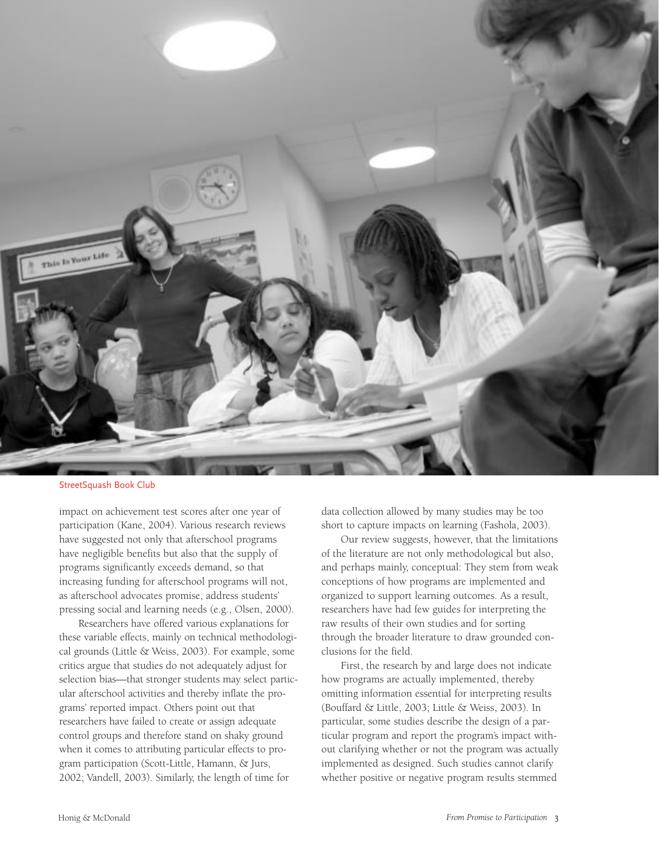

StreetSquash Book Club

impact on achievement test scores after one year of participation (Kane, 2004). Various research reviews have suggested not only that afterschool programs have negligible benefits but also that the supply of programs significantly exceeds demand, so that increasing funding for afterschool programs will not, as afterschool advocates promise, address students' pressing social and learning needs (e.g., Olsen, 2000).

Researchers have offered various explanations for these variable effects, mainly on technical methodological grounds (Little & Weiss, 2003). For example, some critics argue that studies do not adequately adjust for selection bias—that stronger students may select particular afterschool activities and thereby inflate the programs' reported impact. Others point out that researchers have failed to create or assign adequate control groups and therefore stand on shaky ground when it comes to attributing particular effects to program participation (Scott-Little, Hamann, & Jurs, 2002; Vandell, 2003). Similarly, the length of time for

data collection allowed by many studies may be too short to capture impacts on learning (Fashola, 2003).

Our review suggests, however, that the limitations of the literature are not only methodological but also, and perhaps mainly, conceptual: They stem from weak conceptions of how programs are implemented and organized to support learning outcomes. As a result, researchers have had few guides for interpreting the raw results of their own studies and for sorting through the broader literature to draw grounded conclusions for the field.

First, the research by and large does not indicate how programs are actually implemented, thereby omitting information essential for interpreting results (Bouffard & Little, 2003; Little & Weiss, 2003). In particular, some studies describe the design of a particular program and report the program's impact without clarifying whether or not the program was actually implemented as designed. Such studies cannot clarify whether positive or negative program results stemmed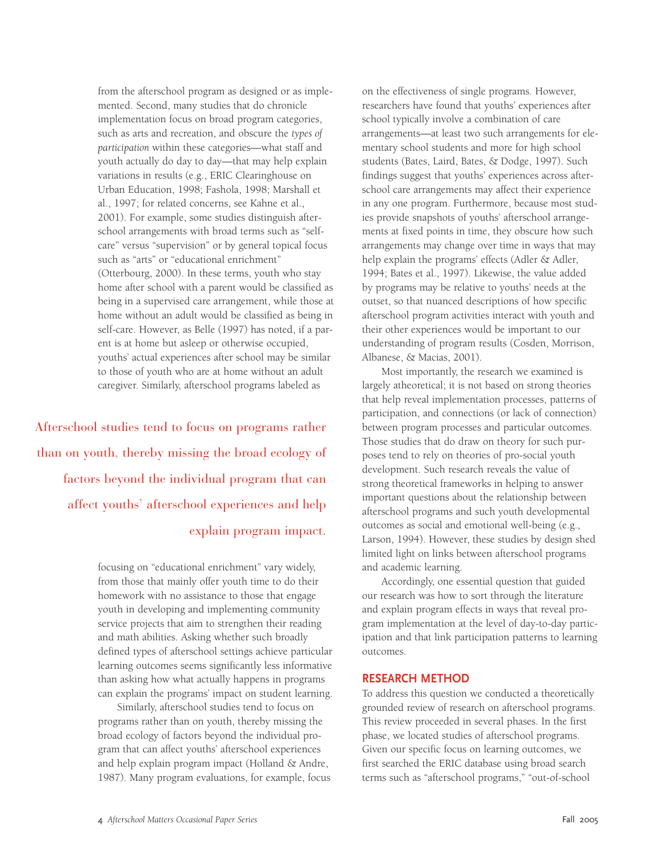from the afterschool program as designed or as implemented. Second, many studies that do chronicle implementation focus on broad program categories, such as arts and recreation, and obscure the *types of participation* within these categories—what staff and youth actually do day to day—that may help explain variations in results (e.g., ERIC Clearinghouse on Urban Education, 1998; Fashola, 1998; Marshall et al., 1997; for related concerns, see Kahne et al., 2001). For example, some studies distinguish afterschool arrangements with broad terms such as "selfcare" versus "supervision" or by general topical focus such as "arts" or "educational enrichment" (Otterbourg, 2000). In these terms, youth who stay home after school with a parent would be classified as being in a supervised care arrangement, while those at home without an adult would be classified as being in self-care. However, as Belle (1997) has noted, if a parent is at home but asleep or otherwise occupied, youths' actual experiences after school may be similar to those of youth who are at home without an adult caregiver. Similarly, afterschool programs labeled as

Afterschool studies tend to focus on programs rather than on youth, thereby missing the broad ecology of factors beyond the individual program that can affect youths' afterschool experiences and help explain program impact.

> focusing on "educational enrichment" vary widely, from those that mainly offer youth time to do their homework with no assistance to those that engage youth in developing and implementing community service projects that aim to strengthen their reading and math abilities. Asking whether such broadly defined types of afterschool settings achieve particular learning outcomes seems significantly less informative than asking how what actually happens in programs can explain the programs' impact on student learning.

> Similarly, afterschool studies tend to focus on programs rather than on youth, thereby missing the broad ecology of factors beyond the individual program that can affect youths' afterschool experiences and help explain program impact (Holland & Andre, 1987). Many program evaluations, for example, focus

on the effectiveness of single programs. However, researchers have found that youths' experiences after school typically involve a combination of care arrangements—at least two such arrangements for elementary school students and more for high school students (Bates, Laird, Bates, & Dodge, 1997). Such findings suggest that youths' experiences across afterschool care arrangements may affect their experience in any one program. Furthermore, because most studies provide snapshots of youths' afterschool arrangements at fixed points in time, they obscure how such arrangements may change over time in ways that may help explain the programs' effects (Adler & Adler, 1994; Bates et al., 1997). Likewise, the value added by programs may be relative to youths' needs at the outset, so that nuanced descriptions of how specific afterschool program activities interact with youth and their other experiences would be important to our understanding of program results (Cosden, Morrison, Albanese, & Macias, 2001).

Most importantly, the research we examined is largely atheoretical; it is not based on strong theories that help reveal implementation processes, patterns of participation, and connections (or lack of connection) between program processes and particular outcomes. Those studies that do draw on theory for such purposes tend to rely on theories of pro-social youth development. Such research reveals the value of strong theoretical frameworks in helping to answer important questions about the relationship between afterschool programs and such youth developmental outcomes as social and emotional well-being (e.g., Larson, 1994). However, these studies by design shed limited light on links between afterschool programs and academic learning.

Accordingly, one essential question that guided our research was how to sort through the literature and explain program effects in ways that reveal program implementation at the level of day-to-day participation and that link participation patterns to learning outcomes.

# **RESEARCH METHOD**

To address this question we conducted a theoretically grounded review of research on afterschool programs. This review proceeded in several phases. In the first phase, we located studies of afterschool programs. Given our specific focus on learning outcomes, we first searched the ERIC database using broad search terms such as "afterschool programs," "out-of-school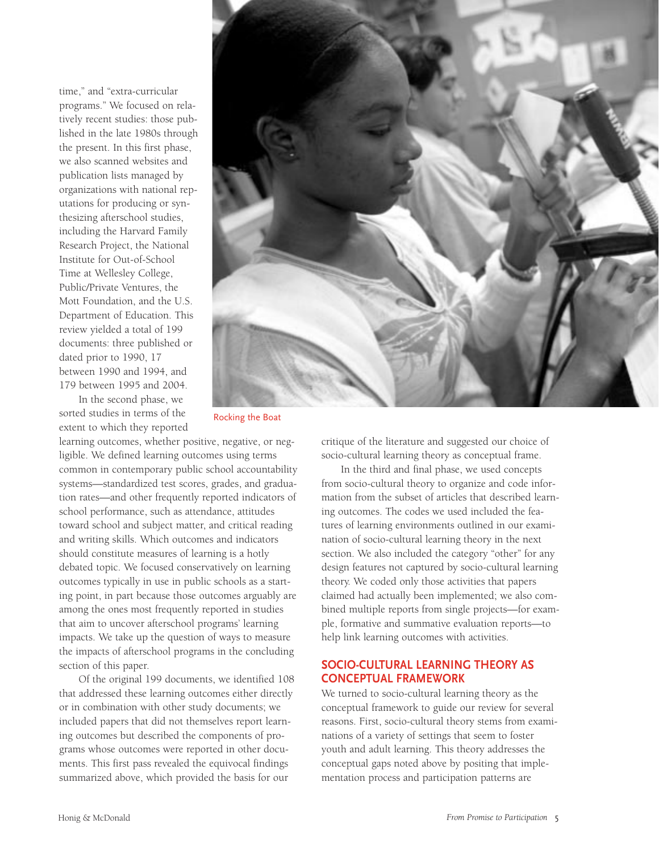time," and "extra-curricular programs." We focused on relatively recent studies: those published in the late 1980s through the present. In this first phase, we also scanned websites and publication lists managed by organizations with national reputations for producing or synthesizing afterschool studies, including the Harvard Family Research Project, the National Institute for Out-of-School Time at Wellesley College, Public/Private Ventures, the Mott Foundation, and the U.S. Department of Education. This review yielded a total of 199 documents: three published or dated prior to 1990, 17 between 1990 and 1994, and 179 between 1995 and 2004.

In the second phase, we sorted studies in terms of the extent to which they reported

learning outcomes, whether positive, negative, or negligible. We defined learning outcomes using terms common in contemporary public school accountability systems—standardized test scores, grades, and graduation rates—and other frequently reported indicators of school performance, such as attendance, attitudes toward school and subject matter, and critical reading and writing skills. Which outcomes and indicators should constitute measures of learning is a hotly debated topic. We focused conservatively on learning outcomes typically in use in public schools as a starting point, in part because those outcomes arguably are among the ones most frequently reported in studies that aim to uncover afterschool programs' learning impacts. We take up the question of ways to measure the impacts of afterschool programs in the concluding section of this paper.

Of the original 199 documents, we identified 108 that addressed these learning outcomes either directly or in combination with other study documents; we included papers that did not themselves report learning outcomes but described the components of programs whose outcomes were reported in other documents. This first pass revealed the equivocal findings summarized above, which provided the basis for our



Rocking the Boat

critique of the literature and suggested our choice of socio-cultural learning theory as conceptual frame.

In the third and final phase, we used concepts from socio-cultural theory to organize and code information from the subset of articles that described learning outcomes. The codes we used included the features of learning environments outlined in our examination of socio-cultural learning theory in the next section. We also included the category "other" for any design features not captured by socio-cultural learning theory. We coded only those activities that papers claimed had actually been implemented; we also combined multiple reports from single projects—for example, formative and summative evaluation reports—to help link learning outcomes with activities.

# **SOCIO-CULTURAL LEARNING THEORY AS CONCEPTUAL FRAMEWORK**

We turned to socio-cultural learning theory as the conceptual framework to guide our review for several reasons. First, socio-cultural theory stems from examinations of a variety of settings that seem to foster youth and adult learning. This theory addresses the conceptual gaps noted above by positing that implementation process and participation patterns are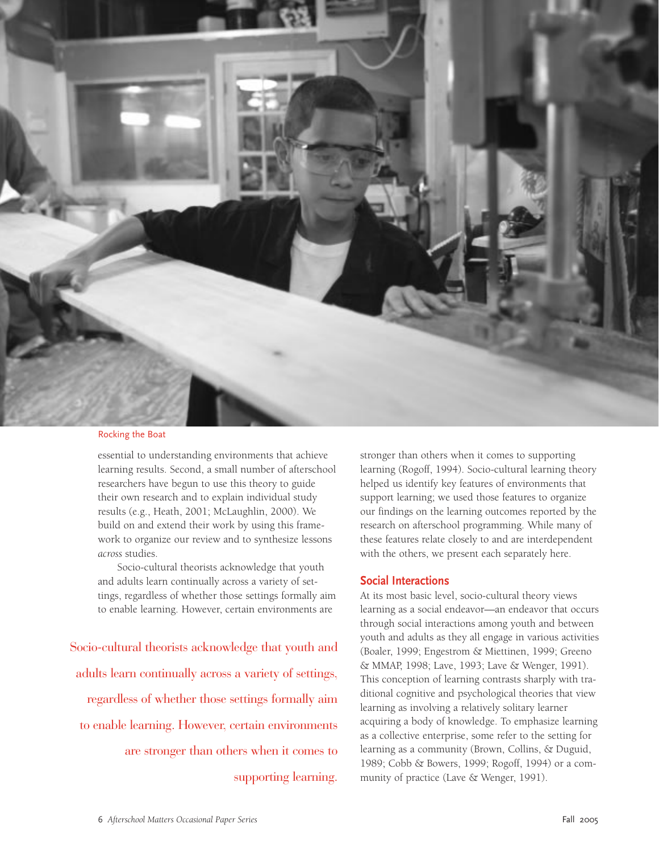

Rocking the Boat

essential to understanding environments that achieve learning results. Second, a small number of afterschool researchers have begun to use this theory to guide their own research and to explain individual study results (e.g., Heath, 2001; McLaughlin, 2000). We build on and extend their work by using this framework to organize our review and to synthesize lessons *across* studies.

Socio-cultural theorists acknowledge that youth and adults learn continually across a variety of settings, regardless of whether those settings formally aim to enable learning. However, certain environments are

Socio-cultural theorists acknowledge that youth and adults learn continually across a variety of settings, regardless of whether those settings formally aim to enable learning. However, certain environments are stronger than others when it comes to supporting learning. stronger than others when it comes to supporting learning (Rogoff, 1994). Socio-cultural learning theory helped us identify key features of environments that support learning; we used those features to organize our findings on the learning outcomes reported by the research on afterschool programming. While many of these features relate closely to and are interdependent with the others, we present each separately here.

### **Social Interactions**

At its most basic level, socio-cultural theory views learning as a social endeavor—an endeavor that occurs through social interactions among youth and between youth and adults as they all engage in various activities (Boaler, 1999; Engestrom & Miettinen, 1999; Greeno & MMAP, 1998; Lave, 1993; Lave & Wenger, 1991). This conception of learning contrasts sharply with traditional cognitive and psychological theories that view learning as involving a relatively solitary learner acquiring a body of knowledge. To emphasize learning as a collective enterprise, some refer to the setting for learning as a community (Brown, Collins, & Duguid, 1989; Cobb & Bowers, 1999; Rogoff, 1994) or a community of practice (Lave & Wenger, 1991).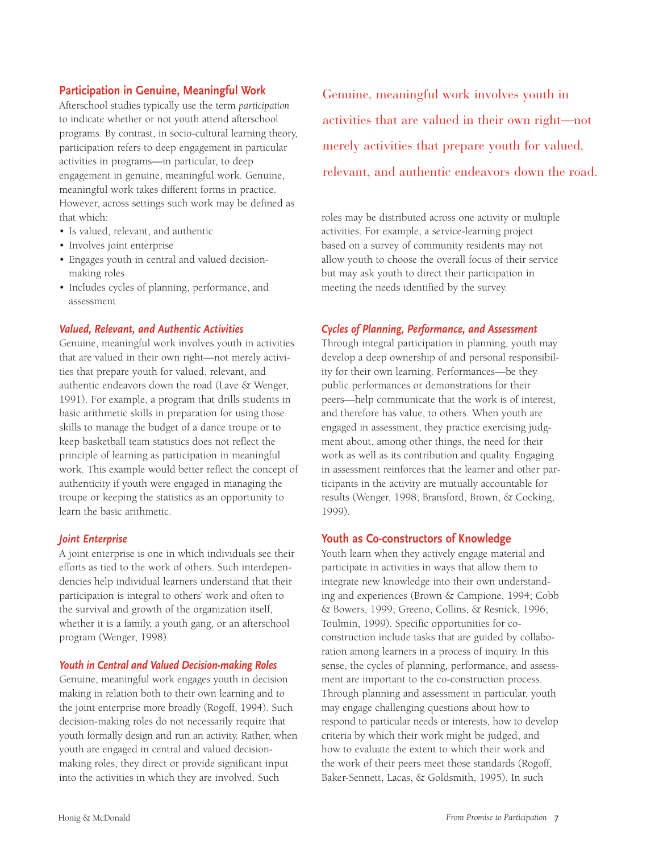# **Participation in Genuine, Meaningful Work**

Afterschool studies typically use the term *participation* to indicate whether or not youth attend afterschool programs. By contrast, in socio-cultural learning theory, participation refers to deep engagement in particular activities in programs—in particular, to deep engagement in genuine, meaningful work. Genuine, meaningful work takes different forms in practice. However, across settings such work may be defined as that which:

- Is valued, relevant, and authentic
- Involves joint enterprise
- Engages youth in central and valued decisionmaking roles
- Includes cycles of planning, performance, and assessment

### *Valued, Relevant, and Authentic Activities*

Genuine, meaningful work involves youth in activities that are valued in their own right—not merely activities that prepare youth for valued, relevant, and authentic endeavors down the road (Lave & Wenger, 1991). For example, a program that drills students in basic arithmetic skills in preparation for using those skills to manage the budget of a dance troupe or to keep basketball team statistics does not reflect the principle of learning as participation in meaningful work. This example would better reflect the concept of authenticity if youth were engaged in managing the troupe or keeping the statistics as an opportunity to learn the basic arithmetic.

### *Joint Enterprise*

A joint enterprise is one in which individuals see their efforts as tied to the work of others. Such interdependencies help individual learners understand that their participation is integral to others' work and often to the survival and growth of the organization itself, whether it is a family, a youth gang, or an afterschool program (Wenger, 1998).

### *Youth in Central and Valued Decision-making Roles*

Genuine, meaningful work engages youth in decision making in relation both to their own learning and to the joint enterprise more broadly (Rogoff, 1994). Such decision-making roles do not necessarily require that youth formally design and run an activity. Rather, when youth are engaged in central and valued decisionmaking roles, they direct or provide significant input into the activities in which they are involved. Such

Genuine, meaningful work involves youth in activities that are valued in their own right—not merely activities that prepare youth for valued, relevant, and authentic endeavors down the road.

roles may be distributed across one activity or multiple activities. For example, a service-learning project based on a survey of community residents may not allow youth to choose the overall focus of their service but may ask youth to direct their participation in meeting the needs identified by the survey.

# *Cycles of Planning, Performance, and Assessment*

Through integral participation in planning, youth may develop a deep ownership of and personal responsibility for their own learning. Performances—be they public performances or demonstrations for their peers—help communicate that the work is of interest, and therefore has value, to others. When youth are engaged in assessment, they practice exercising judgment about, among other things, the need for their work as well as its contribution and quality. Engaging in assessment reinforces that the learner and other participants in the activity are mutually accountable for results (Wenger, 1998; Bransford, Brown, & Cocking, 1999).

# **Youth as Co-constructors of Knowledge**

Youth learn when they actively engage material and participate in activities in ways that allow them to integrate new knowledge into their own understanding and experiences (Brown & Campione, 1994; Cobb & Bowers, 1999; Greeno, Collins, & Resnick, 1996; Toulmin, 1999). Specific opportunities for coconstruction include tasks that are guided by collaboration among learners in a process of inquiry. In this sense, the cycles of planning, performance, and assessment are important to the co-construction process. Through planning and assessment in particular, youth may engage challenging questions about how to respond to particular needs or interests, how to develop criteria by which their work might be judged, and how to evaluate the extent to which their work and the work of their peers meet those standards (Rogoff, Baker-Sennett, Lacas, & Goldsmith, 1995). In such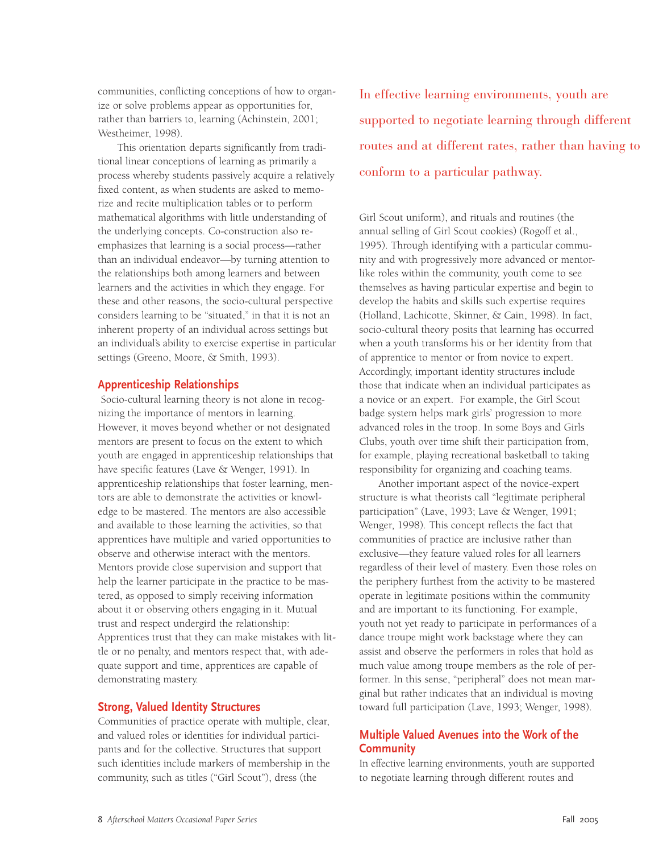communities, conflicting conceptions of how to organize or solve problems appear as opportunities for, rather than barriers to, learning (Achinstein, 2001; Westheimer, 1998).

This orientation departs significantly from traditional linear conceptions of learning as primarily a process whereby students passively acquire a relatively fixed content, as when students are asked to memorize and recite multiplication tables or to perform mathematical algorithms with little understanding of the underlying concepts. Co-construction also reemphasizes that learning is a social process—rather than an individual endeavor—by turning attention to the relationships both among learners and between learners and the activities in which they engage. For these and other reasons, the socio-cultural perspective considers learning to be "situated," in that it is not an inherent property of an individual across settings but an individual's ability to exercise expertise in particular settings (Greeno, Moore, & Smith, 1993).

# **Apprenticeship Relationships**

Socio-cultural learning theory is not alone in recognizing the importance of mentors in learning. However, it moves beyond whether or not designated mentors are present to focus on the extent to which youth are engaged in apprenticeship relationships that have specific features (Lave & Wenger, 1991). In apprenticeship relationships that foster learning, mentors are able to demonstrate the activities or knowledge to be mastered. The mentors are also accessible and available to those learning the activities, so that apprentices have multiple and varied opportunities to observe and otherwise interact with the mentors. Mentors provide close supervision and support that help the learner participate in the practice to be mastered, as opposed to simply receiving information about it or observing others engaging in it. Mutual trust and respect undergird the relationship: Apprentices trust that they can make mistakes with little or no penalty, and mentors respect that, with adequate support and time, apprentices are capable of demonstrating mastery.

### **Strong, Valued Identity Structures**

Communities of practice operate with multiple, clear, and valued roles or identities for individual participants and for the collective. Structures that support such identities include markers of membership in the community, such as titles ("Girl Scout"), dress (the

In effective learning environments, youth are supported to negotiate learning through different routes and at different rates, rather than having to conform to a particular pathway.

Girl Scout uniform), and rituals and routines (the annual selling of Girl Scout cookies) (Rogoff et al., 1995). Through identifying with a particular community and with progressively more advanced or mentorlike roles within the community, youth come to see themselves as having particular expertise and begin to develop the habits and skills such expertise requires (Holland, Lachicotte, Skinner, & Cain, 1998). In fact, socio-cultural theory posits that learning has occurred when a youth transforms his or her identity from that of apprentice to mentor or from novice to expert. Accordingly, important identity structures include those that indicate when an individual participates as a novice or an expert. For example, the Girl Scout badge system helps mark girls' progression to more advanced roles in the troop. In some Boys and Girls Clubs, youth over time shift their participation from, for example, playing recreational basketball to taking responsibility for organizing and coaching teams.

Another important aspect of the novice-expert structure is what theorists call "legitimate peripheral participation" (Lave, 1993; Lave & Wenger, 1991; Wenger, 1998). This concept reflects the fact that communities of practice are inclusive rather than exclusive—they feature valued roles for all learners regardless of their level of mastery. Even those roles on the periphery furthest from the activity to be mastered operate in legitimate positions within the community and are important to its functioning. For example, youth not yet ready to participate in performances of a dance troupe might work backstage where they can assist and observe the performers in roles that hold as much value among troupe members as the role of performer. In this sense, "peripheral" does not mean marginal but rather indicates that an individual is moving toward full participation (Lave, 1993; Wenger, 1998).

# **Multiple Valued Avenues into the Work of the Community**

In effective learning environments, youth are supported to negotiate learning through different routes and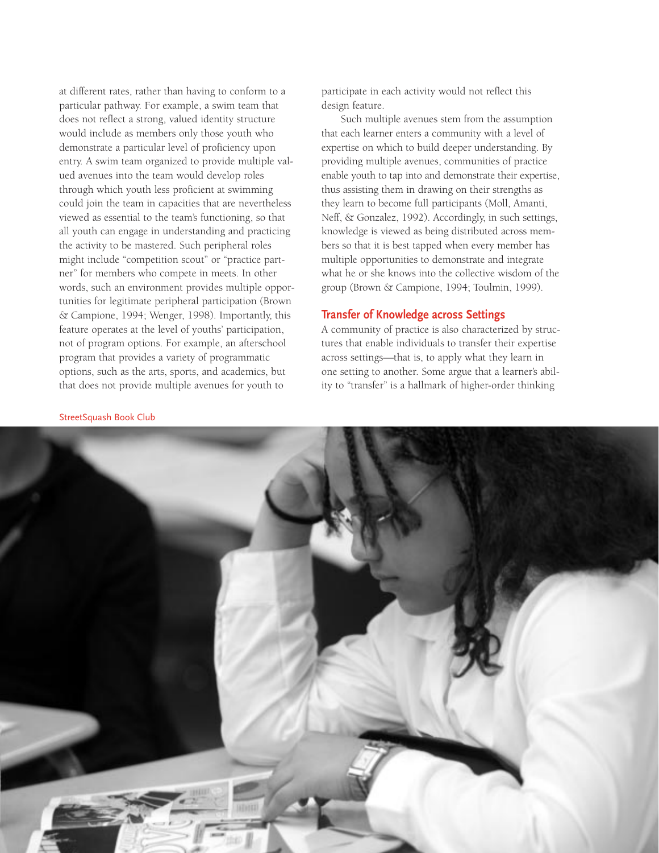at different rates, rather than having to conform to a particular pathway. For example, a swim team that does not reflect a strong, valued identity structure would include as members only those youth who demonstrate a particular level of proficiency upon entry. A swim team organized to provide multiple valued avenues into the team would develop roles through which youth less proficient at swimming could join the team in capacities that are nevertheless viewed as essential to the team's functioning, so that all youth can engage in understanding and practicing the activity to be mastered. Such peripheral roles might include "competition scout" or "practice partner" for members who compete in meets. In other words, such an environment provides multiple opportunities for legitimate peripheral participation (Brown & Campione, 1994; Wenger, 1998). Importantly, this feature operates at the level of youths' participation, not of program options. For example, an afterschool program that provides a variety of programmatic options, such as the arts, sports, and academics, but that does not provide multiple avenues for youth to

participate in each activity would not reflect this design feature.

Such multiple avenues stem from the assumption that each learner enters a community with a level of expertise on which to build deeper understanding. By providing multiple avenues, communities of practice enable youth to tap into and demonstrate their expertise, thus assisting them in drawing on their strengths as they learn to become full participants (Moll, Amanti, Neff, & Gonzalez, 1992). Accordingly, in such settings, knowledge is viewed as being distributed across members so that it is best tapped when every member has multiple opportunities to demonstrate and integrate what he or she knows into the collective wisdom of the group (Brown & Campione, 1994; Toulmin, 1999).

#### **Transfer of Knowledge across Settings**

A community of practice is also characterized by structures that enable individuals to transfer their expertise across settings—that is, to apply what they learn in one setting to another. Some argue that a learner's ability to "transfer" is a hallmark of higher-order thinking

#### StreetSquash Book Club

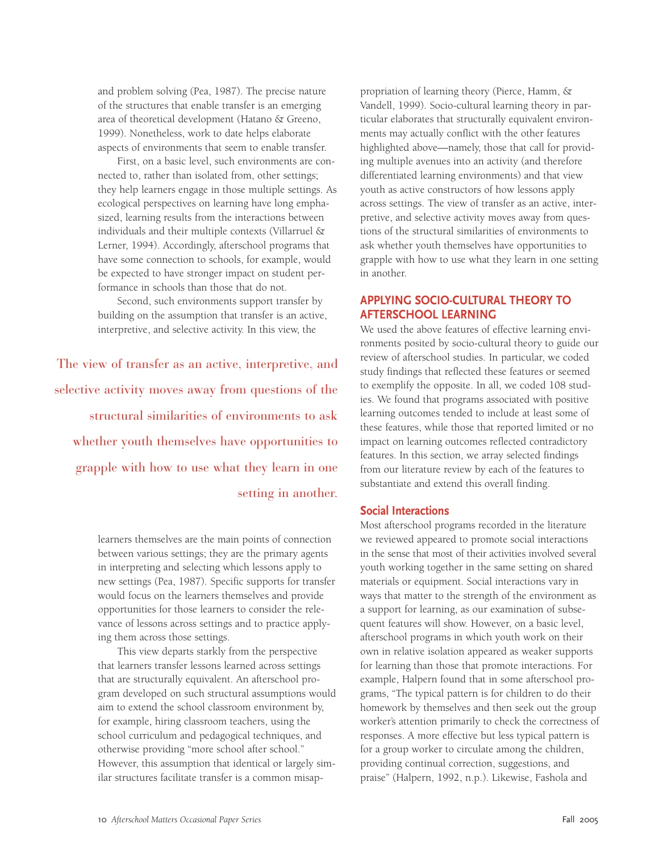and problem solving (Pea, 1987). The precise nature of the structures that enable transfer is an emerging area of theoretical development (Hatano & Greeno, 1999). Nonetheless, work to date helps elaborate aspects of environments that seem to enable transfer.

First, on a basic level, such environments are connected to, rather than isolated from, other settings; they help learners engage in those multiple settings. As ecological perspectives on learning have long emphasized, learning results from the interactions between individuals and their multiple contexts (Villarruel & Lerner, 1994). Accordingly, afterschool programs that have some connection to schools, for example, would be expected to have stronger impact on student performance in schools than those that do not.

Second, such environments support transfer by building on the assumption that transfer is an active, interpretive, and selective activity. In this view, the

The view of transfer as an active, interpretive, and selective activity moves away from questions of the structural similarities of environments to ask whether youth themselves have opportunities to grapple with how to use what they learn in one setting in another.

> learners themselves are the main points of connection between various settings; they are the primary agents in interpreting and selecting which lessons apply to new settings (Pea, 1987). Specific supports for transfer would focus on the learners themselves and provide opportunities for those learners to consider the relevance of lessons across settings and to practice applying them across those settings.

> This view departs starkly from the perspective that learners transfer lessons learned across settings that are structurally equivalent. An afterschool program developed on such structural assumptions would aim to extend the school classroom environment by, for example, hiring classroom teachers, using the school curriculum and pedagogical techniques, and otherwise providing "more school after school." However, this assumption that identical or largely similar structures facilitate transfer is a common misap

propriation of learning theory (Pierce, Hamm, & Vandell, 1999). Socio-cultural learning theory in particular elaborates that structurally equivalent environments may actually conflict with the other features highlighted above—namely, those that call for providing multiple avenues into an activity (and therefore differentiated learning environments) and that view youth as active constructors of how lessons apply across settings. The view of transfer as an active, interpretive, and selective activity moves away from questions of the structural similarities of environments to ask whether youth themselves have opportunities to grapple with how to use what they learn in one setting in another.

# **APPLYING SOCIO-CULTURAL THEORY TO AFTERSCHOOL LEARNING**

We used the above features of effective learning environments posited by socio-cultural theory to guide our review of afterschool studies. In particular, we coded study findings that reflected these features or seemed to exemplify the opposite. In all, we coded 108 studies. We found that programs associated with positive learning outcomes tended to include at least some of these features, while those that reported limited or no impact on learning outcomes reflected contradictory features. In this section, we array selected findings from our literature review by each of the features to substantiate and extend this overall finding.

## **Social Interactions**

Most afterschool programs recorded in the literature we reviewed appeared to promote social interactions in the sense that most of their activities involved several youth working together in the same setting on shared materials or equipment. Social interactions vary in ways that matter to the strength of the environment as a support for learning, as our examination of subsequent features will show. However, on a basic level, afterschool programs in which youth work on their own in relative isolation appeared as weaker supports for learning than those that promote interactions. For example, Halpern found that in some afterschool programs, "The typical pattern is for children to do their homework by themselves and then seek out the group worker's attention primarily to check the correctness of responses. A more effective but less typical pattern is for a group worker to circulate among the children, providing continual correction, suggestions, and praise" (Halpern, 1992, n.p.). Likewise, Fashola and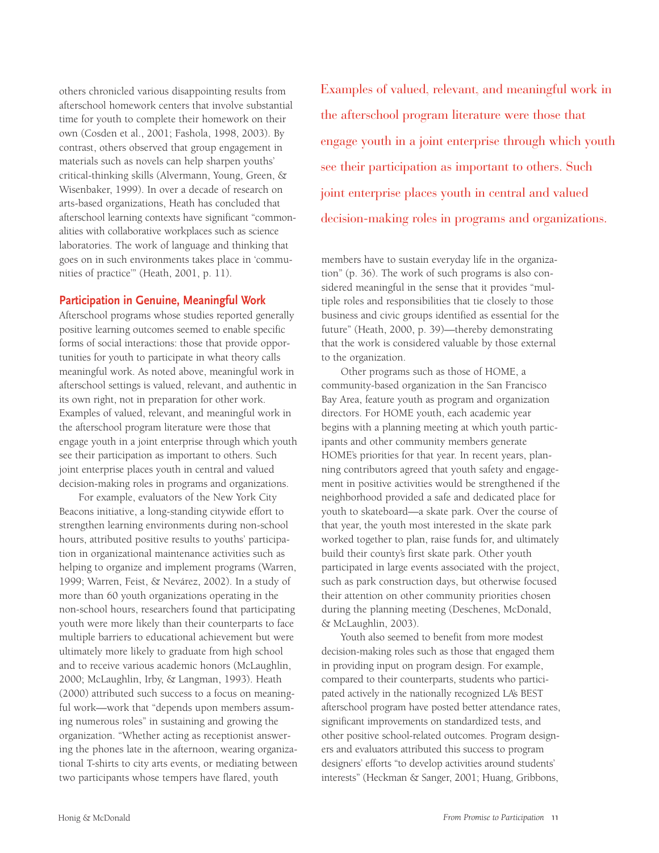others chronicled various disappointing results from afterschool homework centers that involve substantial time for youth to complete their homework on their own (Cosden et al., 2001; Fashola, 1998, 2003). By contrast, others observed that group engagement in materials such as novels can help sharpen youths' critical-thinking skills (Alvermann, Young, Green, & Wisenbaker, 1999). In over a decade of research on arts-based organizations, Heath has concluded that afterschool learning contexts have significant "commonalities with collaborative workplaces such as science laboratories. The work of language and thinking that goes on in such environments takes place in 'communities of practice'" (Heath, 2001, p. 11).

## **Participation in Genuine, Meaningful Work**

Afterschool programs whose studies reported generally positive learning outcomes seemed to enable specific forms of social interactions: those that provide opportunities for youth to participate in what theory calls meaningful work. As noted above, meaningful work in afterschool settings is valued, relevant, and authentic in its own right, not in preparation for other work. Examples of valued, relevant, and meaningful work in the afterschool program literature were those that engage youth in a joint enterprise through which youth see their participation as important to others. Such joint enterprise places youth in central and valued decision-making roles in programs and organizations.

For example, evaluators of the New York City Beacons initiative, a long-standing citywide effort to strengthen learning environments during non-school hours, attributed positive results to youths' participation in organizational maintenance activities such as helping to organize and implement programs (Warren, 1999; Warren, Feist, & Nevárez, 2002). In a study of more than 60 youth organizations operating in the non-school hours, researchers found that participating youth were more likely than their counterparts to face multiple barriers to educational achievement but were ultimately more likely to graduate from high school and to receive various academic honors (McLaughlin, 2000; McLaughlin, Irby, & Langman, 1993). Heath (2000) attributed such success to a focus on meaningful work—work that "depends upon members assuming numerous roles" in sustaining and growing the organization. "Whether acting as receptionist answering the phones late in the afternoon, wearing organizational T-shirts to city arts events, or mediating between two participants whose tempers have flared, youth

Examples of valued, relevant, and meaningful work in the afterschool program literature were those that engage youth in a joint enterprise through which youth see their participation as important to others. Such joint enterprise places youth in central and valued decision-making roles in programs and organizations.

members have to sustain everyday life in the organization" (p. 36). The work of such programs is also considered meaningful in the sense that it provides "multiple roles and responsibilities that tie closely to those business and civic groups identified as essential for the future" (Heath, 2000, p. 39)—thereby demonstrating that the work is considered valuable by those external to the organization.

Other programs such as those of HOME, a community-based organization in the San Francisco Bay Area, feature youth as program and organization directors. For HOME youth, each academic year begins with a planning meeting at which youth participants and other community members generate HOME's priorities for that year. In recent years, planning contributors agreed that youth safety and engagement in positive activities would be strengthened if the neighborhood provided a safe and dedicated place for youth to skateboard—a skate park. Over the course of that year, the youth most interested in the skate park worked together to plan, raise funds for, and ultimately build their county's first skate park. Other youth participated in large events associated with the project, such as park construction days, but otherwise focused their attention on other community priorities chosen during the planning meeting (Deschenes, McDonald, & McLaughlin, 2003).

Youth also seemed to benefit from more modest decision-making roles such as those that engaged them in providing input on program design. For example, compared to their counterparts, students who participated actively in the nationally recognized LA's BEST afterschool program have posted better attendance rates, significant improvements on standardized tests, and other positive school-related outcomes. Program designers and evaluators attributed this success to program designers' efforts "to develop activities around students' interests" (Heckman & Sanger, 2001; Huang, Gribbons,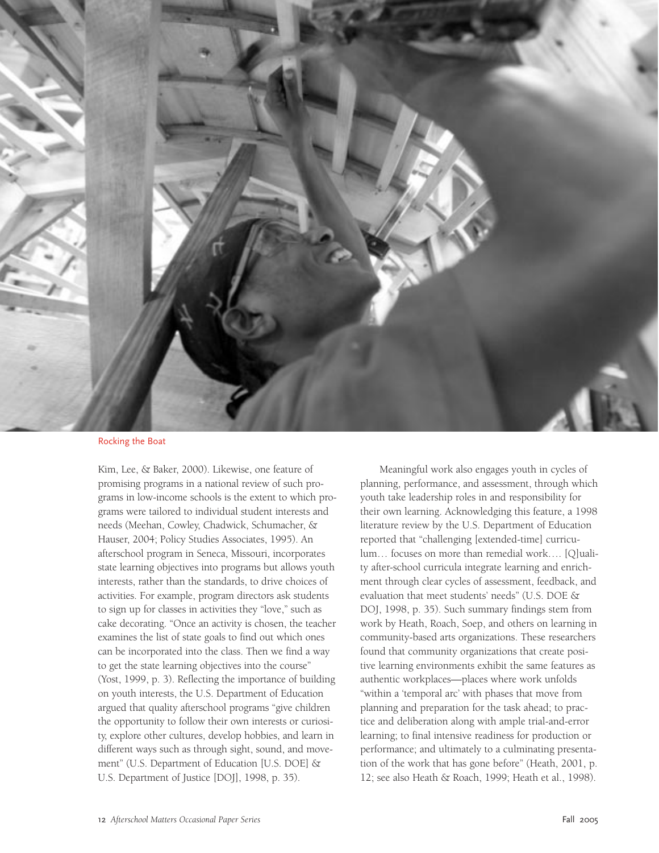

Rocking the Boat

Kim, Lee, & Baker, 2000). Likewise, one feature of promising programs in a national review of such programs in low-income schools is the extent to which programs were tailored to individual student interests and needs (Meehan, Cowley, Chadwick, Schumacher, & Hauser, 2004; Policy Studies Associates, 1995). An afterschool program in Seneca, Missouri, incorporates state learning objectives into programs but allows youth interests, rather than the standards, to drive choices of activities. For example, program directors ask students to sign up for classes in activities they "love," such as cake decorating. "Once an activity is chosen, the teacher examines the list of state goals to find out which ones can be incorporated into the class. Then we find a way to get the state learning objectives into the course" (Yost, 1999, p. 3). Reflecting the importance of building on youth interests, the U.S. Department of Education argued that quality afterschool programs "give children the opportunity to follow their own interests or curiosity, explore other cultures, develop hobbies, and learn in different ways such as through sight, sound, and movement" (U.S. Department of Education [U.S. DOE] & U.S. Department of Justice [DOJ], 1998, p. 35).

Meaningful work also engages youth in cycles of planning, performance, and assessment, through which youth take leadership roles in and responsibility for their own learning. Acknowledging this feature, a 1998 literature review by the U.S. Department of Education reported that "challenging [extended-time] curriculum… focuses on more than remedial work…. [Q]uality after-school curricula integrate learning and enrichment through clear cycles of assessment, feedback, and evaluation that meet students' needs" (U.S. DOE & DOJ, 1998, p. 35). Such summary findings stem from work by Heath, Roach, Soep, and others on learning in community-based arts organizations. These researchers found that community organizations that create positive learning environments exhibit the same features as authentic workplaces—places where work unfolds "within a 'temporal arc' with phases that move from planning and preparation for the task ahead; to practice and deliberation along with ample trial-and-error learning; to final intensive readiness for production or performance; and ultimately to a culminating presentation of the work that has gone before" (Heath, 2001, p. 12; see also Heath & Roach, 1999; Heath et al., 1998).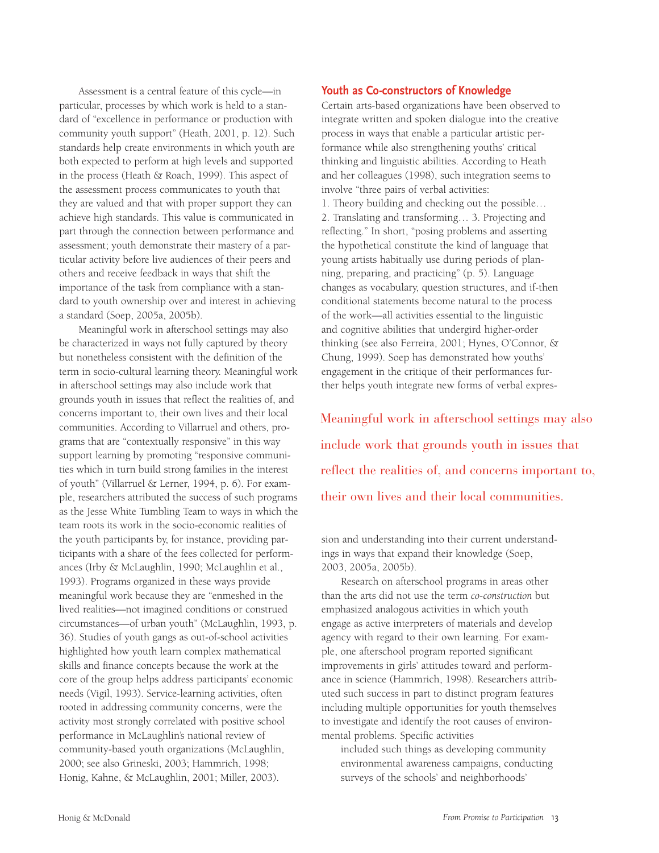Assessment is a central feature of this cycle—in particular, processes by which work is held to a standard of "excellence in performance or production with community youth support" (Heath, 2001, p. 12). Such standards help create environments in which youth are both expected to perform at high levels and supported in the process (Heath & Roach, 1999). This aspect of the assessment process communicates to youth that they are valued and that with proper support they can achieve high standards. This value is communicated in part through the connection between performance and assessment; youth demonstrate their mastery of a particular activity before live audiences of their peers and others and receive feedback in ways that shift the importance of the task from compliance with a standard to youth ownership over and interest in achieving a standard (Soep, 2005a, 2005b).

Meaningful work in afterschool settings may also be characterized in ways not fully captured by theory but nonetheless consistent with the definition of the term in socio-cultural learning theory. Meaningful work in afterschool settings may also include work that grounds youth in issues that reflect the realities of, and concerns important to, their own lives and their local communities. According to Villarruel and others, programs that are "contextually responsive" in this way support learning by promoting "responsive communities which in turn build strong families in the interest of youth" (Villarruel & Lerner, 1994, p. 6). For example, researchers attributed the success of such programs as the Jesse White Tumbling Team to ways in which the team roots its work in the socio-economic realities of the youth participants by, for instance, providing participants with a share of the fees collected for performances (Irby & McLaughlin, 1990; McLaughlin et al., 1993). Programs organized in these ways provide meaningful work because they are "enmeshed in the lived realities—not imagined conditions or construed circumstances—of urban youth" (McLaughlin, 1993, p. 36). Studies of youth gangs as out-of-school activities highlighted how youth learn complex mathematical skills and finance concepts because the work at the core of the group helps address participants' economic needs (Vigil, 1993). Service-learning activities, often rooted in addressing community concerns, were the activity most strongly correlated with positive school performance in McLaughlin's national review of community-based youth organizations (McLaughlin, 2000; see also Grineski, 2003; Hammrich, 1998; Honig, Kahne, & McLaughlin, 2001; Miller, 2003).

### **Youth as Co-constructors of Knowledge**

Certain arts-based organizations have been observed to integrate written and spoken dialogue into the creative process in ways that enable a particular artistic performance while also strengthening youths' critical thinking and linguistic abilities. According to Heath and her colleagues (1998), such integration seems to involve "three pairs of verbal activities:

1. Theory building and checking out the possible… 2. Translating and transforming… 3. Projecting and reflecting." In short, "posing problems and asserting the hypothetical constitute the kind of language that young artists habitually use during periods of planning, preparing, and practicing" (p. 5). Language changes as vocabulary, question structures, and if-then conditional statements become natural to the process of the work—all activities essential to the linguistic and cognitive abilities that undergird higher-order thinking (see also Ferreira, 2001; Hynes, O'Connor, & Chung, 1999). Soep has demonstrated how youths' engagement in the critique of their performances further helps youth integrate new forms of verbal expres-

Meaningful work in afterschool settings may also include work that grounds youth in issues that reflect the realities of, and concerns important to, their own lives and their local communities.

sion and understanding into their current understandings in ways that expand their knowledge (Soep, 2003, 2005a, 2005b).

Research on afterschool programs in areas other than the arts did not use the term *co-construction* but emphasized analogous activities in which youth engage as active interpreters of materials and develop agency with regard to their own learning. For example, one afterschool program reported significant improvements in girls' attitudes toward and performance in science (Hammrich, 1998). Researchers attributed such success in part to distinct program features including multiple opportunities for youth themselves to investigate and identify the root causes of environmental problems. Specific activities

included such things as developing community environmental awareness campaigns, conducting surveys of the schools' and neighborhoods'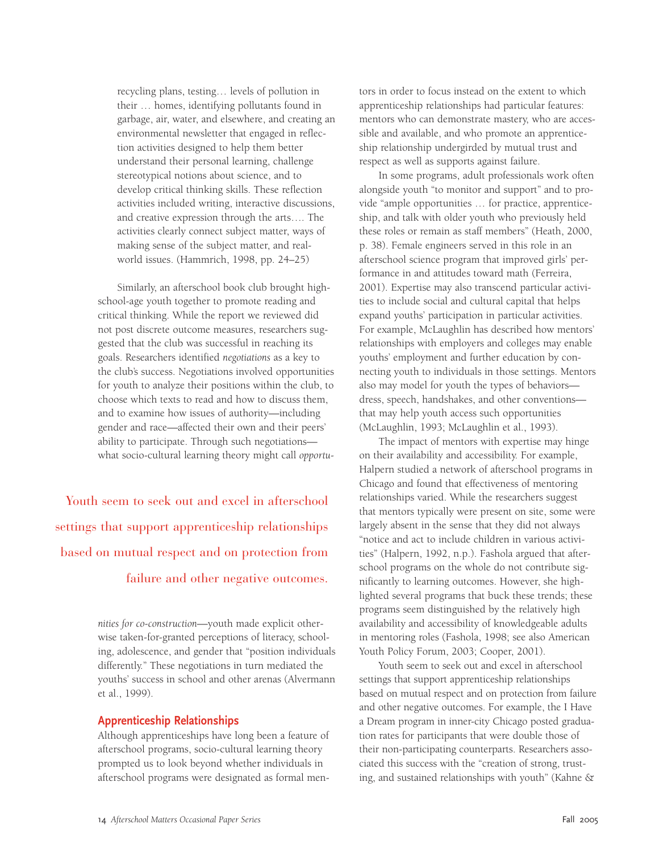recycling plans, testing… levels of pollution in their … homes, identifying pollutants found in garbage, air, water, and elsewhere, and creating an environmental newsletter that engaged in reflection activities designed to help them better understand their personal learning, challenge stereotypical notions about science, and to develop critical thinking skills. These reflection activities included writing, interactive discussions, and creative expression through the arts…. The activities clearly connect subject matter, ways of making sense of the subject matter, and realworld issues. (Hammrich, 1998, pp. 24–25)

Similarly, an afterschool book club brought highschool-age youth together to promote reading and critical thinking. While the report we reviewed did not post discrete outcome measures, researchers suggested that the club was successful in reaching its goals. Researchers identified *negotiations* as a key to the club's success. Negotiations involved opportunities for youth to analyze their positions within the club, to choose which texts to read and how to discuss them, and to examine how issues of authority—including gender and race—affected their own and their peers' ability to participate. Through such negotiations what socio-cultural learning theory might call *opportu-*

Youth seem to seek out and excel in afterschool settings that support apprenticeship relationships based on mutual respect and on protection from failure and other negative outcomes.

> *nities for co-construction*—youth made explicit otherwise taken-for-granted perceptions of literacy, schooling, adolescence, and gender that "position individuals differently." These negotiations in turn mediated the youths' success in school and other arenas (Alvermann et al., 1999).

# **Apprenticeship Relationships**

Although apprenticeships have long been a feature of afterschool programs, socio-cultural learning theory prompted us to look beyond whether individuals in afterschool programs were designated as formal mentors in order to focus instead on the extent to which apprenticeship relationships had particular features: mentors who can demonstrate mastery, who are accessible and available, and who promote an apprenticeship relationship undergirded by mutual trust and respect as well as supports against failure.

In some programs, adult professionals work often alongside youth "to monitor and support" and to provide "ample opportunities … for practice, apprenticeship, and talk with older youth who previously held these roles or remain as staff members" (Heath, 2000, p. 38). Female engineers served in this role in an afterschool science program that improved girls' performance in and attitudes toward math (Ferreira, 2001). Expertise may also transcend particular activities to include social and cultural capital that helps expand youths' participation in particular activities. For example, McLaughlin has described how mentors' relationships with employers and colleges may enable youths' employment and further education by connecting youth to individuals in those settings. Mentors also may model for youth the types of behaviors dress, speech, handshakes, and other conventions that may help youth access such opportunities (McLaughlin, 1993; McLaughlin et al., 1993).

The impact of mentors with expertise may hinge on their availability and accessibility. For example, Halpern studied a network of afterschool programs in Chicago and found that effectiveness of mentoring relationships varied. While the researchers suggest that mentors typically were present on site, some were largely absent in the sense that they did not always "notice and act to include children in various activities" (Halpern, 1992, n.p.). Fashola argued that afterschool programs on the whole do not contribute significantly to learning outcomes. However, she highlighted several programs that buck these trends; these programs seem distinguished by the relatively high availability and accessibility of knowledgeable adults in mentoring roles (Fashola, 1998; see also American Youth Policy Forum, 2003; Cooper, 2001).

Youth seem to seek out and excel in afterschool settings that support apprenticeship relationships based on mutual respect and on protection from failure and other negative outcomes. For example, the I Have a Dream program in inner-city Chicago posted graduation rates for participants that were double those of their non-participating counterparts. Researchers associated this success with the "creation of strong, trusting, and sustained relationships with youth" (Kahne &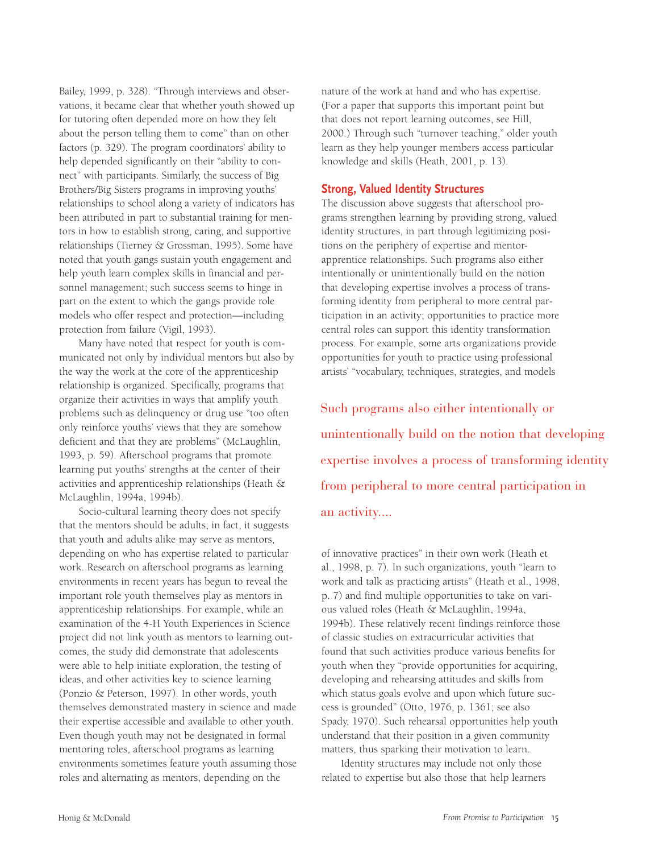Bailey, 1999, p. 328). "Through interviews and observations, it became clear that whether youth showed up for tutoring often depended more on how they felt about the person telling them to come" than on other factors (p. 329). The program coordinators' ability to help depended significantly on their "ability to connect" with participants. Similarly, the success of Big Brothers/Big Sisters programs in improving youths' relationships to school along a variety of indicators has been attributed in part to substantial training for mentors in how to establish strong, caring, and supportive relationships (Tierney & Grossman, 1995). Some have noted that youth gangs sustain youth engagement and help youth learn complex skills in financial and personnel management; such success seems to hinge in part on the extent to which the gangs provide role models who offer respect and protection—including protection from failure (Vigil, 1993).

Many have noted that respect for youth is communicated not only by individual mentors but also by the way the work at the core of the apprenticeship relationship is organized. Specifically, programs that organize their activities in ways that amplify youth problems such as delinquency or drug use "too often only reinforce youths' views that they are somehow deficient and that they are problems" (McLaughlin, 1993, p. 59). Afterschool programs that promote learning put youths' strengths at the center of their activities and apprenticeship relationships (Heath & McLaughlin, 1994a, 1994b).

Socio-cultural learning theory does not specify that the mentors should be adults; in fact, it suggests that youth and adults alike may serve as mentors, depending on who has expertise related to particular work. Research on afterschool programs as learning environments in recent years has begun to reveal the important role youth themselves play as mentors in apprenticeship relationships. For example, while an examination of the 4-H Youth Experiences in Science project did not link youth as mentors to learning outcomes, the study did demonstrate that adolescents were able to help initiate exploration, the testing of ideas, and other activities key to science learning (Ponzio & Peterson, 1997). In other words, youth themselves demonstrated mastery in science and made their expertise accessible and available to other youth. Even though youth may not be designated in formal mentoring roles, afterschool programs as learning environments sometimes feature youth assuming those roles and alternating as mentors, depending on the

nature of the work at hand and who has expertise. (For a paper that supports this important point but that does not report learning outcomes, see Hill, 2000.) Through such "turnover teaching," older youth learn as they help younger members access particular knowledge and skills (Heath, 2001, p. 13).

# **Strong, Valued Identity Structures**

The discussion above suggests that afterschool programs strengthen learning by providing strong, valued identity structures, in part through legitimizing positions on the periphery of expertise and mentorapprentice relationships. Such programs also either intentionally or unintentionally build on the notion that developing expertise involves a process of transforming identity from peripheral to more central participation in an activity; opportunities to practice more central roles can support this identity transformation process. For example, some arts organizations provide opportunities for youth to practice using professional artists' "vocabulary, techniques, strategies, and models

Such programs also either intentionally or unintentionally build on the notion that developing expertise involves a process of transforming identity from peripheral to more central participation in an activity....

of innovative practices" in their own work (Heath et al., 1998, p. 7). In such organizations, youth "learn to work and talk as practicing artists" (Heath et al., 1998, p. 7) and find multiple opportunities to take on various valued roles (Heath & McLaughlin, 1994a, 1994b). These relatively recent findings reinforce those of classic studies on extracurricular activities that found that such activities produce various benefits for youth when they "provide opportunities for acquiring, developing and rehearsing attitudes and skills from which status goals evolve and upon which future success is grounded" (Otto, 1976, p. 1361; see also Spady, 1970). Such rehearsal opportunities help youth understand that their position in a given community matters, thus sparking their motivation to learn.

Identity structures may include not only those related to expertise but also those that help learners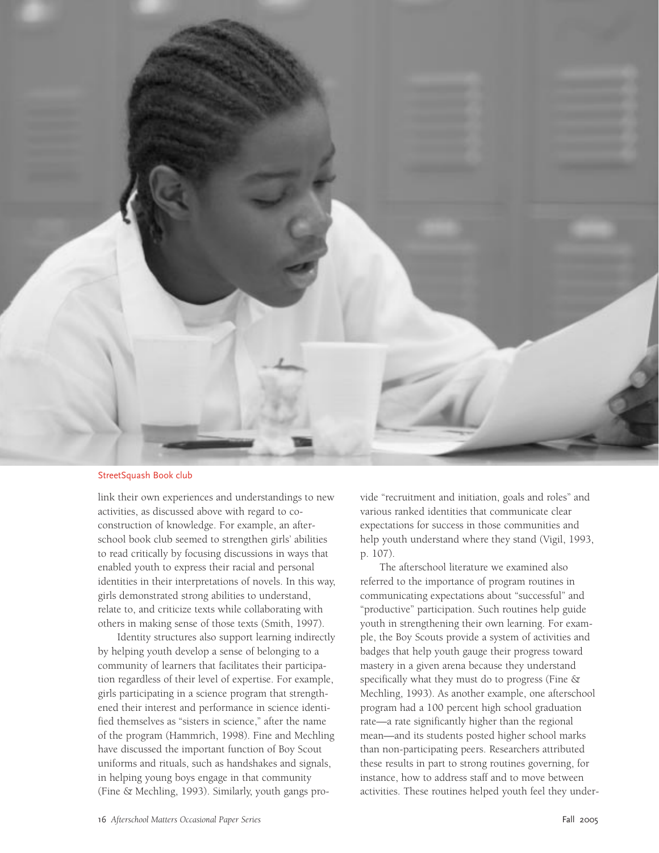

### StreetSquash Book club

link their own experiences and understandings to new activities, as discussed above with regard to coconstruction of knowledge. For example, an afterschool book club seemed to strengthen girls' abilities to read critically by focusing discussions in ways that enabled youth to express their racial and personal identities in their interpretations of novels. In this way, girls demonstrated strong abilities to understand, relate to, and criticize texts while collaborating with others in making sense of those texts (Smith, 1997).

Identity structures also support learning indirectly by helping youth develop a sense of belonging to a community of learners that facilitates their participation regardless of their level of expertise. For example, girls participating in a science program that strengthened their interest and performance in science identified themselves as "sisters in science," after the name of the program (Hammrich, 1998). Fine and Mechling have discussed the important function of Boy Scout uniforms and rituals, such as handshakes and signals, in helping young boys engage in that community (Fine & Mechling, 1993). Similarly, youth gangs provide "recruitment and initiation, goals and roles" and various ranked identities that communicate clear expectations for success in those communities and help youth understand where they stand (Vigil, 1993, p. 107).

The afterschool literature we examined also referred to the importance of program routines in communicating expectations about "successful" and "productive" participation. Such routines help guide youth in strengthening their own learning. For example, the Boy Scouts provide a system of activities and badges that help youth gauge their progress toward mastery in a given arena because they understand specifically what they must do to progress (Fine & Mechling, 1993). As another example, one afterschool program had a 100 percent high school graduation rate—a rate significantly higher than the regional mean—and its students posted higher school marks than non-participating peers. Researchers attributed these results in part to strong routines governing, for instance, how to address staff and to move between activities. These routines helped youth feel they under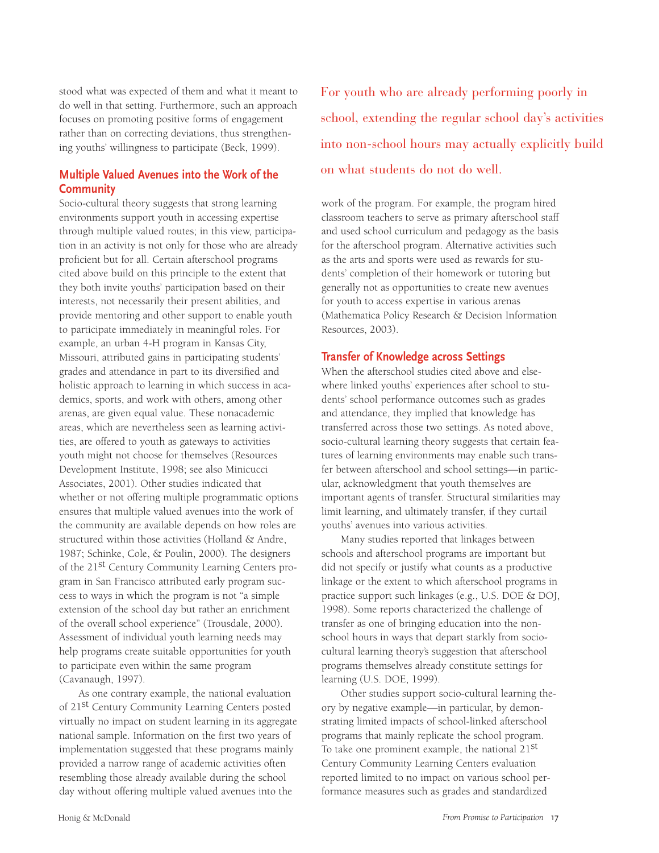stood what was expected of them and what it meant to do well in that setting. Furthermore, such an approach focuses on promoting positive forms of engagement rather than on correcting deviations, thus strengthening youths' willingness to participate (Beck, 1999).

# **Multiple Valued Avenues into the Work of the Community**

Socio-cultural theory suggests that strong learning environments support youth in accessing expertise through multiple valued routes; in this view, participation in an activity is not only for those who are already proficient but for all. Certain afterschool programs cited above build on this principle to the extent that they both invite youths' participation based on their interests, not necessarily their present abilities, and provide mentoring and other support to enable youth to participate immediately in meaningful roles. For example, an urban 4-H program in Kansas City, Missouri, attributed gains in participating students' grades and attendance in part to its diversified and holistic approach to learning in which success in academics, sports, and work with others, among other arenas, are given equal value. These nonacademic areas, which are nevertheless seen as learning activities, are offered to youth as gateways to activities youth might not choose for themselves (Resources Development Institute, 1998; see also Minicucci Associates, 2001). Other studies indicated that whether or not offering multiple programmatic options ensures that multiple valued avenues into the work of the community are available depends on how roles are structured within those activities (Holland & Andre, 1987; Schinke, Cole, & Poulin, 2000). The designers of the 21st Century Community Learning Centers program in San Francisco attributed early program success to ways in which the program is not "a simple extension of the school day but rather an enrichment of the overall school experience" (Trousdale, 2000). Assessment of individual youth learning needs may help programs create suitable opportunities for youth to participate even within the same program (Cavanaugh, 1997).

As one contrary example, the national evaluation of 21<sup>st</sup> Century Community Learning Centers posted virtually no impact on student learning in its aggregate national sample. Information on the first two years of implementation suggested that these programs mainly provided a narrow range of academic activities often resembling those already available during the school day without offering multiple valued avenues into the

For youth who are already performing poorly in school, extending the regular school day's activities into non-school hours may actually explicitly build on what students do not do well.

work of the program. For example, the program hired classroom teachers to serve as primary afterschool staff and used school curriculum and pedagogy as the basis for the afterschool program. Alternative activities such as the arts and sports were used as rewards for students' completion of their homework or tutoring but generally not as opportunities to create new avenues for youth to access expertise in various arenas (Mathematica Policy Research & Decision Information Resources, 2003).

## **Transfer of Knowledge across Settings**

When the afterschool studies cited above and elsewhere linked youths' experiences after school to students' school performance outcomes such as grades and attendance, they implied that knowledge has transferred across those two settings. As noted above, socio-cultural learning theory suggests that certain features of learning environments may enable such transfer between afterschool and school settings—in particular, acknowledgment that youth themselves are important agents of transfer. Structural similarities may limit learning, and ultimately transfer, if they curtail youths' avenues into various activities.

Many studies reported that linkages between schools and afterschool programs are important but did not specify or justify what counts as a productive linkage or the extent to which afterschool programs in practice support such linkages (e.g., U.S. DOE & DOJ, 1998). Some reports characterized the challenge of transfer as one of bringing education into the nonschool hours in ways that depart starkly from sociocultural learning theory's suggestion that afterschool programs themselves already constitute settings for learning (U.S. DOE, 1999).

Other studies support socio-cultural learning theory by negative example—in particular, by demonstrating limited impacts of school-linked afterschool programs that mainly replicate the school program. To take one prominent example, the national 21st Century Community Learning Centers evaluation reported limited to no impact on various school performance measures such as grades and standardized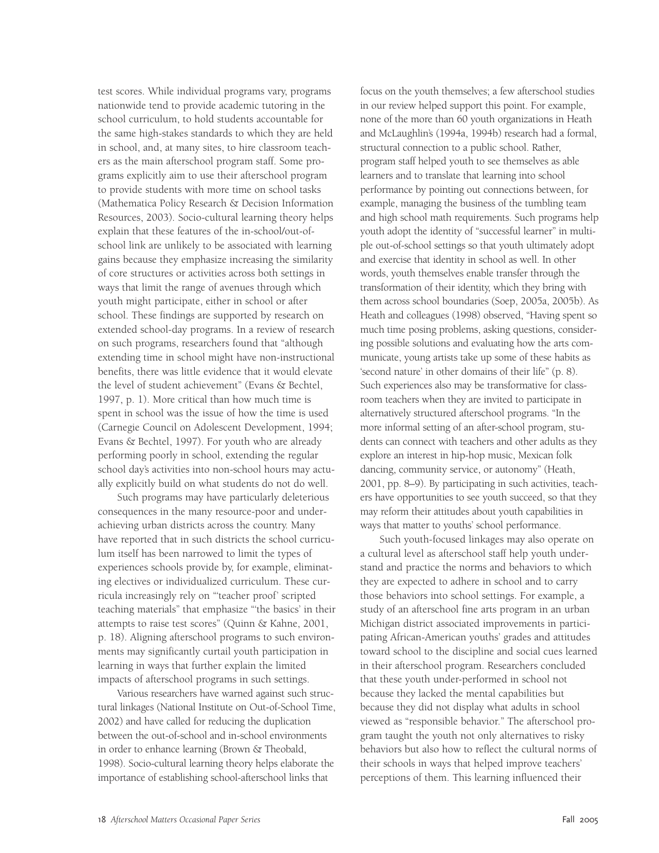test scores. While individual programs vary, programs nationwide tend to provide academic tutoring in the school curriculum, to hold students accountable for the same high-stakes standards to which they are held in school, and, at many sites, to hire classroom teachers as the main afterschool program staff. Some programs explicitly aim to use their afterschool program to provide students with more time on school tasks (Mathematica Policy Research & Decision Information Resources, 2003). Socio-cultural learning theory helps explain that these features of the in-school/out-ofschool link are unlikely to be associated with learning gains because they emphasize increasing the similarity of core structures or activities across both settings in ways that limit the range of avenues through which youth might participate, either in school or after school. These findings are supported by research on extended school-day programs. In a review of research on such programs, researchers found that "although extending time in school might have non-instructional benefits, there was little evidence that it would elevate the level of student achievement" (Evans & Bechtel, 1997, p. 1). More critical than how much time is spent in school was the issue of how the time is used (Carnegie Council on Adolescent Development, 1994; Evans & Bechtel, 1997). For youth who are already performing poorly in school, extending the regular school day's activities into non-school hours may actually explicitly build on what students do not do well.

Such programs may have particularly deleterious consequences in the many resource-poor and underachieving urban districts across the country. Many have reported that in such districts the school curriculum itself has been narrowed to limit the types of experiences schools provide by, for example, eliminating electives or individualized curriculum. These curricula increasingly rely on "'teacher proof' scripted teaching materials" that emphasize "'the basics' in their attempts to raise test scores" (Quinn & Kahne, 2001, p. 18). Aligning afterschool programs to such environments may significantly curtail youth participation in learning in ways that further explain the limited impacts of afterschool programs in such settings.

Various researchers have warned against such structural linkages (National Institute on Out-of-School Time, 2002) and have called for reducing the duplication between the out-of-school and in-school environments in order to enhance learning (Brown & Theobald, 1998). Socio-cultural learning theory helps elaborate the importance of establishing school-afterschool links that

focus on the youth themselves; a few afterschool studies in our review helped support this point. For example, none of the more than 60 youth organizations in Heath and McLaughlin's (1994a, 1994b) research had a formal, structural connection to a public school. Rather, program staff helped youth to see themselves as able learners and to translate that learning into school performance by pointing out connections between, for example, managing the business of the tumbling team and high school math requirements. Such programs help youth adopt the identity of "successful learner" in multiple out-of-school settings so that youth ultimately adopt and exercise that identity in school as well. In other words, youth themselves enable transfer through the transformation of their identity, which they bring with them across school boundaries (Soep, 2005a, 2005b). As Heath and colleagues (1998) observed, "Having spent so much time posing problems, asking questions, considering possible solutions and evaluating how the arts communicate, young artists take up some of these habits as 'second nature' in other domains of their life" (p. 8). Such experiences also may be transformative for classroom teachers when they are invited to participate in alternatively structured afterschool programs. "In the more informal setting of an after-school program, students can connect with teachers and other adults as they explore an interest in hip-hop music, Mexican folk dancing, community service, or autonomy" (Heath, 2001, pp. 8–9). By participating in such activities, teachers have opportunities to see youth succeed, so that they may reform their attitudes about youth capabilities in ways that matter to youths' school performance.

Such youth-focused linkages may also operate on a cultural level as afterschool staff help youth understand and practice the norms and behaviors to which they are expected to adhere in school and to carry those behaviors into school settings. For example, a study of an afterschool fine arts program in an urban Michigan district associated improvements in participating African-American youths' grades and attitudes toward school to the discipline and social cues learned in their afterschool program. Researchers concluded that these youth under-performed in school not because they lacked the mental capabilities but because they did not display what adults in school viewed as "responsible behavior." The afterschool program taught the youth not only alternatives to risky behaviors but also how to reflect the cultural norms of their schools in ways that helped improve teachers' perceptions of them. This learning influenced their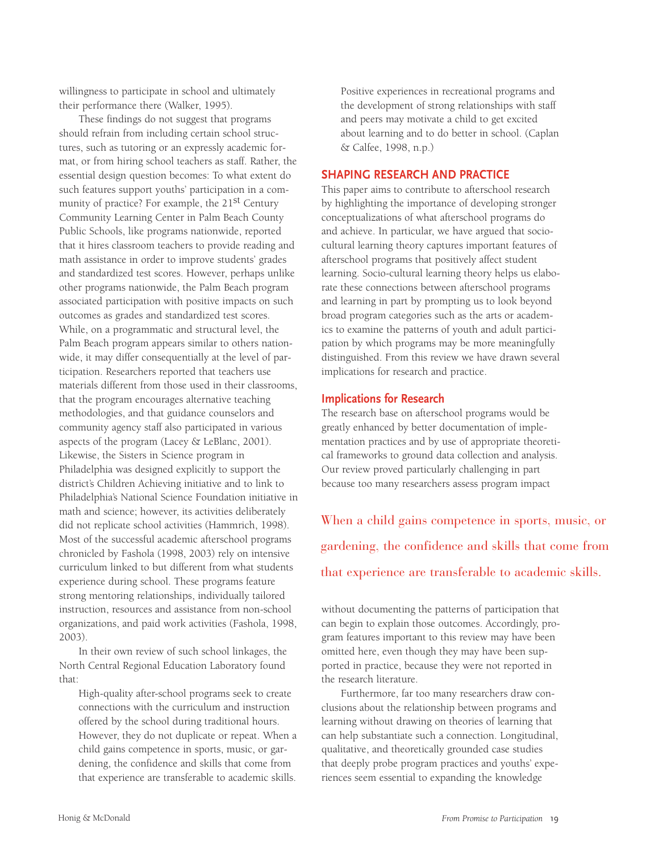willingness to participate in school and ultimately their performance there (Walker, 1995).

These findings do not suggest that programs should refrain from including certain school structures, such as tutoring or an expressly academic format, or from hiring school teachers as staff. Rather, the essential design question becomes: To what extent do such features support youths' participation in a community of practice? For example, the 21<sup>st</sup> Century Community Learning Center in Palm Beach County Public Schools, like programs nationwide, reported that it hires classroom teachers to provide reading and math assistance in order to improve students' grades and standardized test scores. However, perhaps unlike other programs nationwide, the Palm Beach program associated participation with positive impacts on such outcomes as grades and standardized test scores. While, on a programmatic and structural level, the Palm Beach program appears similar to others nationwide, it may differ consequentially at the level of participation. Researchers reported that teachers use materials different from those used in their classrooms, that the program encourages alternative teaching methodologies, and that guidance counselors and community agency staff also participated in various aspects of the program (Lacey & LeBlanc, 2001). Likewise, the Sisters in Science program in Philadelphia was designed explicitly to support the district's Children Achieving initiative and to link to Philadelphia's National Science Foundation initiative in math and science; however, its activities deliberately did not replicate school activities (Hammrich, 1998). Most of the successful academic afterschool programs chronicled by Fashola (1998, 2003) rely on intensive curriculum linked to but different from what students experience during school. These programs feature strong mentoring relationships, individually tailored instruction, resources and assistance from non-school organizations, and paid work activities (Fashola, 1998, 2003).

In their own review of such school linkages, the North Central Regional Education Laboratory found that:

High-quality after-school programs seek to create connections with the curriculum and instruction offered by the school during traditional hours. However, they do not duplicate or repeat. When a child gains competence in sports, music, or gardening, the confidence and skills that come from that experience are transferable to academic skills.

Positive experiences in recreational programs and the development of strong relationships with staff and peers may motivate a child to get excited about learning and to do better in school. (Caplan & Calfee, 1998, n.p.)

# **SHAPING RESEARCH AND PRACTICE**

This paper aims to contribute to afterschool research by highlighting the importance of developing stronger conceptualizations of what afterschool programs do and achieve. In particular, we have argued that sociocultural learning theory captures important features of afterschool programs that positively affect student learning. Socio-cultural learning theory helps us elaborate these connections between afterschool programs and learning in part by prompting us to look beyond broad program categories such as the arts or academics to examine the patterns of youth and adult participation by which programs may be more meaningfully distinguished. From this review we have drawn several implications for research and practice.

# **Implications for Research**

The research base on afterschool programs would be greatly enhanced by better documentation of implementation practices and by use of appropriate theoretical frameworks to ground data collection and analysis. Our review proved particularly challenging in part because too many researchers assess program impact

When a child gains competence in sports, music, or gardening, the confidence and skills that come from that experience are transferable to academic skills.

without documenting the patterns of participation that can begin to explain those outcomes. Accordingly, program features important to this review may have been omitted here, even though they may have been supported in practice, because they were not reported in the research literature.

Furthermore, far too many researchers draw conclusions about the relationship between programs and learning without drawing on theories of learning that can help substantiate such a connection. Longitudinal, qualitative, and theoretically grounded case studies that deeply probe program practices and youths' experiences seem essential to expanding the knowledge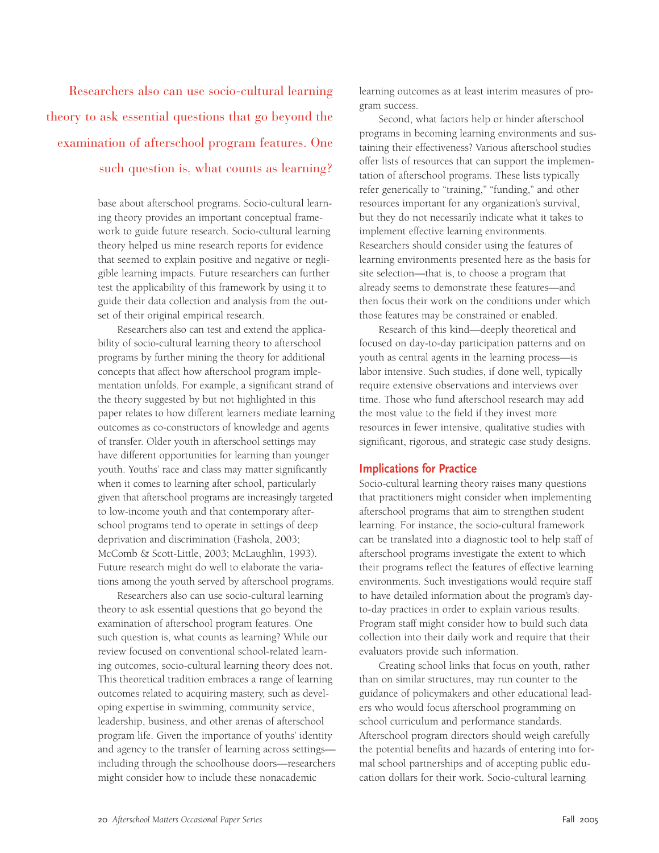Researchers also can use socio-cultural learning theory to ask essential questions that go beyond the examination of afterschool program features. One such question is, what counts as learning?

> base about afterschool programs. Socio-cultural learning theory provides an important conceptual framework to guide future research. Socio-cultural learning theory helped us mine research reports for evidence that seemed to explain positive and negative or negligible learning impacts. Future researchers can further test the applicability of this framework by using it to guide their data collection and analysis from the outset of their original empirical research.

Researchers also can test and extend the applicability of socio-cultural learning theory to afterschool programs by further mining the theory for additional concepts that affect how afterschool program implementation unfolds. For example, a significant strand of the theory suggested by but not highlighted in this paper relates to how different learners mediate learning outcomes as co-constructors of knowledge and agents of transfer. Older youth in afterschool settings may have different opportunities for learning than younger youth. Youths' race and class may matter significantly when it comes to learning after school, particularly given that afterschool programs are increasingly targeted to low-income youth and that contemporary afterschool programs tend to operate in settings of deep deprivation and discrimination (Fashola, 2003; McComb & Scott-Little, 2003; McLaughlin, 1993). Future research might do well to elaborate the variations among the youth served by afterschool programs.

Researchers also can use socio-cultural learning theory to ask essential questions that go beyond the examination of afterschool program features. One such question is, what counts as learning? While our review focused on conventional school-related learning outcomes, socio-cultural learning theory does not. This theoretical tradition embraces a range of learning outcomes related to acquiring mastery, such as developing expertise in swimming, community service, leadership, business, and other arenas of afterschool program life. Given the importance of youths' identity and agency to the transfer of learning across settings including through the schoolhouse doors—researchers might consider how to include these nonacademic

learning outcomes as at least interim measures of program success.

Second, what factors help or hinder afterschool programs in becoming learning environments and sustaining their effectiveness? Various afterschool studies offer lists of resources that can support the implementation of afterschool programs. These lists typically refer generically to "training," "funding," and other resources important for any organization's survival, but they do not necessarily indicate what it takes to implement effective learning environments. Researchers should consider using the features of learning environments presented here as the basis for site selection—that is, to choose a program that already seems to demonstrate these features—and then focus their work on the conditions under which those features may be constrained or enabled.

Research of this kind—deeply theoretical and focused on day-to-day participation patterns and on youth as central agents in the learning process—is labor intensive. Such studies, if done well, typically require extensive observations and interviews over time. Those who fund afterschool research may add the most value to the field if they invest more resources in fewer intensive, qualitative studies with significant, rigorous, and strategic case study designs.

# **Implications for Practice**

Socio-cultural learning theory raises many questions that practitioners might consider when implementing afterschool programs that aim to strengthen student learning. For instance, the socio-cultural framework can be translated into a diagnostic tool to help staff of afterschool programs investigate the extent to which their programs reflect the features of effective learning environments. Such investigations would require staff to have detailed information about the program's dayto-day practices in order to explain various results. Program staff might consider how to build such data collection into their daily work and require that their evaluators provide such information.

Creating school links that focus on youth, rather than on similar structures, may run counter to the guidance of policymakers and other educational leaders who would focus afterschool programming on school curriculum and performance standards. Afterschool program directors should weigh carefully the potential benefits and hazards of entering into formal school partnerships and of accepting public education dollars for their work. Socio-cultural learning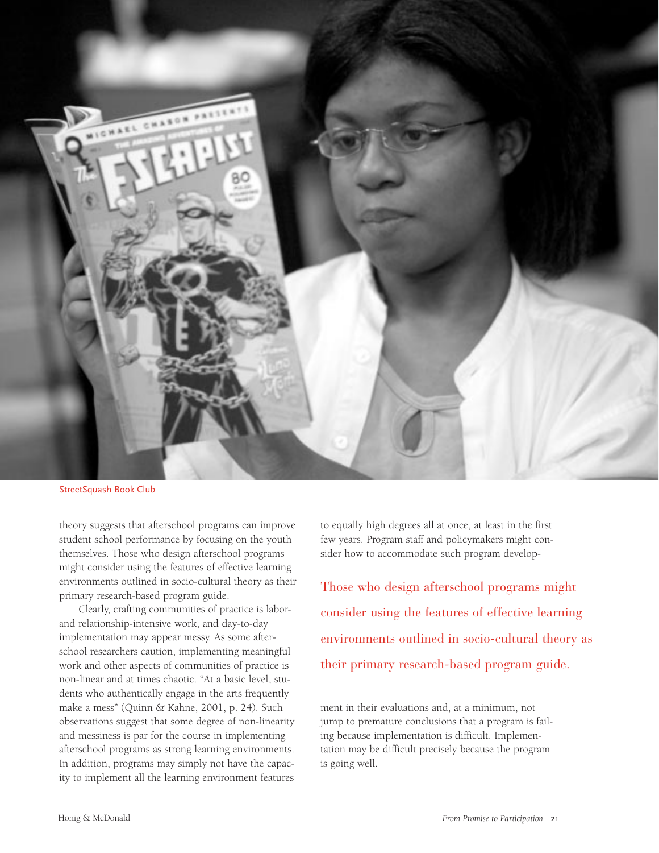

StreetSquash Book Club

theory suggests that afterschool programs can improve student school performance by focusing on the youth themselves. Those who design afterschool programs might consider using the features of effective learning environments outlined in socio-cultural theory as their primary research-based program guide.

Clearly, crafting communities of practice is laborand relationship-intensive work, and day-to-day implementation may appear messy. As some afterschool researchers caution, implementing meaningful work and other aspects of communities of practice is non-linear and at times chaotic. "At a basic level, students who authentically engage in the arts frequently make a mess" (Quinn & Kahne, 2001, p. 24). Such observations suggest that some degree of non-linearity and messiness is par for the course in implementing afterschool programs as strong learning environments. In addition, programs may simply not have the capacity to implement all the learning environment features

to equally high degrees all at once, at least in the first few years. Program staff and policymakers might consider how to accommodate such program develop-

Those who design afterschool programs might consider using the features of effective learning environments outlined in socio-cultural theory as their primary research-based program guide.

ment in their evaluations and, at a minimum, not jump to premature conclusions that a program is failing because implementation is difficult. Implementation may be difficult precisely because the program is going well.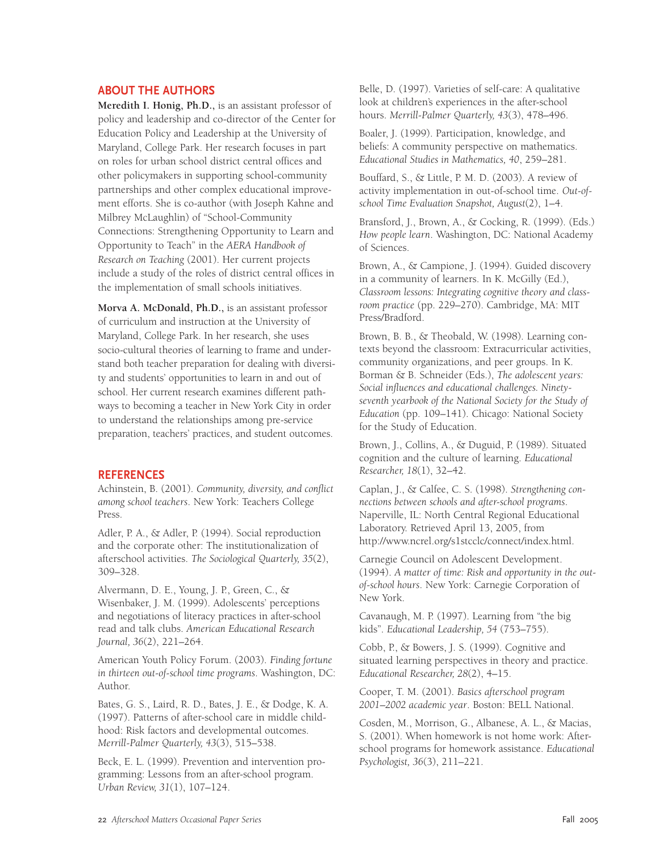### **ABOUT THE AUTHORS**

**Meredith I. Honig, Ph.D.,** is an assistant professor of policy and leadership and co-director of the Center for Education Policy and Leadership at the University of Maryland, College Park. Her research focuses in part on roles for urban school district central offices and other policymakers in supporting school-community partnerships and other complex educational improvement efforts. She is co-author (with Joseph Kahne and Milbrey McLaughlin) of "School-Community Connections: Strengthening Opportunity to Learn and Opportunity to Teach" in the *AERA Handbook of Research on Teaching* (2001). Her current projects include a study of the roles of district central offices in the implementation of small schools initiatives.

**Morva A. McDonald, Ph.D.,** is an assistant professor of curriculum and instruction at the University of Maryland, College Park. In her research, she uses socio-cultural theories of learning to frame and understand both teacher preparation for dealing with diversity and students' opportunities to learn in and out of school. Her current research examines different pathways to becoming a teacher in New York City in order to understand the relationships among pre-service preparation, teachers' practices, and student outcomes.

### **REFERENCES**

Achinstein, B. (2001). *Community, diversity, and conflict among school teachers*. New York: Teachers College Press.

Adler, P. A., & Adler, P. (1994). Social reproduction and the corporate other: The institutionalization of afterschool activities. *The Sociological Quarterly, 35*(2), 309–328.

Alvermann, D. E., Young, J. P., Green, C., & Wisenbaker, J. M. (1999). Adolescents' perceptions and negotiations of literacy practices in after-school read and talk clubs. *American Educational Research Journal, 36*(2), 221–264.

American Youth Policy Forum. (2003). *Finding fortune in thirteen out-of-school time programs*. Washington, DC: Author.

Bates, G. S., Laird, R. D., Bates, J. E., & Dodge, K. A. (1997). Patterns of after-school care in middle childhood: Risk factors and developmental outcomes. *Merrill-Palmer Quarterly, 43*(3), 515–538.

Beck, E. L. (1999). Prevention and intervention programming: Lessons from an after-school program. *Urban Review, 31*(1), 107–124.

Belle, D. (1997). Varieties of self-care: A qualitative look at children's experiences in the after-school hours. *Merrill-Palmer Quarterly, 43*(3), 478–496.

Boaler, J. (1999). Participation, knowledge, and beliefs: A community perspective on mathematics. *Educational Studies in Mathematics, 40*, 259–281.

Bouffard, S., & Little, P. M. D. (2003). A review of activity implementation in out-of-school time. *Out-ofschool Time Evaluation Snapshot, August*(2), 1–4.

Bransford, J., Brown, A., & Cocking, R. (1999). (Eds.) *How people learn*. Washington, DC: National Academy of Sciences.

Brown, A., & Campione, J. (1994). Guided discovery in a community of learners. In K. McGilly (Ed.), *Classroom lessons: Integrating cognitive theory and classroom practice* (pp. 229–270). Cambridge, MA: MIT Press/Bradford.

Brown, B. B., & Theobald, W. (1998). Learning contexts beyond the classroom: Extracurricular activities, community organizations, and peer groups. In K. Borman & B. Schneider (Eds.), *The adolescent years: Social influences and educational challenges. Ninetyseventh yearbook of the National Society for the Study of Education* (pp. 109–141). Chicago: National Society for the Study of Education.

Brown, J., Collins, A., & Duguid, P. (1989). Situated cognition and the culture of learning. *Educational Researcher, 18*(1), 32–42.

Caplan, J., & Calfee, C. S. (1998). *Strengthening connections between schools and after-school programs*. Naperville, IL: North Central Regional Educational Laboratory. Retrieved April 13, 2005, from http://www.ncrel.org/s1stcclc/connect/index.html.

Carnegie Council on Adolescent Development. (1994). *A matter of time: Risk and opportunity in the outof-school hours*. New York: Carnegie Corporation of New York.

Cavanaugh, M. P. (1997). Learning from "the big kids". *Educational Leadership, 54* (753–755).

Cobb, P., & Bowers, J. S. (1999). Cognitive and situated learning perspectives in theory and practice. *Educational Researcher, 28*(2), 4–15.

Cooper, T. M. (2001). *Basics afterschool program 2001–2002 academic year*. Boston: BELL National.

Cosden, M., Morrison, G., Albanese, A. L., & Macias, S. (2001). When homework is not home work: Afterschool programs for homework assistance. *Educational Psychologist, 36*(3), 211–221.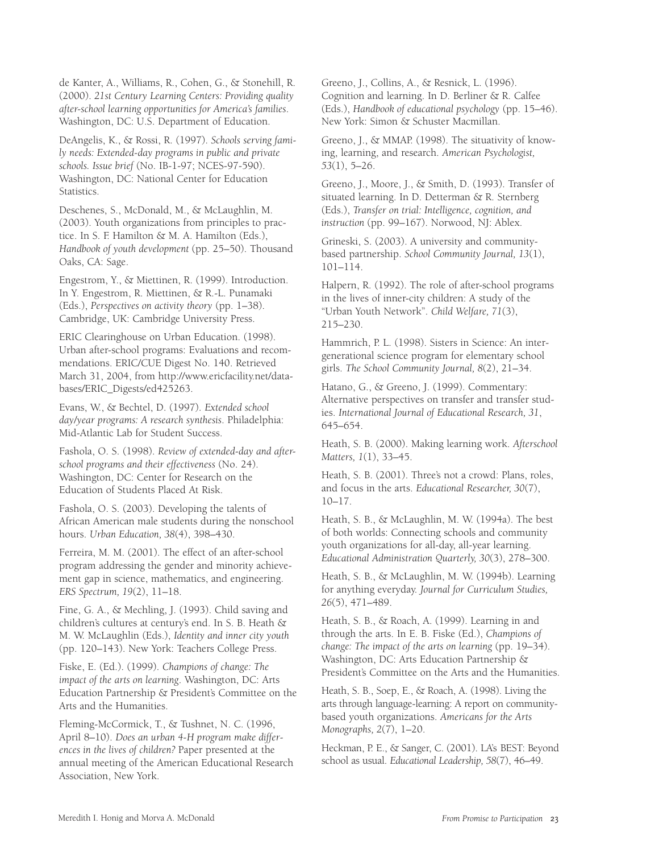de Kanter, A., Williams, R., Cohen, G., & Stonehill, R. (2000). *21st Century Learning Centers: Providing quality after-school learning opportunities for America's families*. Washington, DC: U.S. Department of Education.

DeAngelis, K., & Rossi, R. (1997). *Schools serving family needs: Extended-day programs in public and private schools. Issue brief* (No. IB-1-97; NCES-97-590). Washington, DC: National Center for Education Statistics.

Deschenes, S., McDonald, M., & McLaughlin, M. (2003). Youth organizations from principles to practice. In S. F. Hamilton & M. A. Hamilton (Eds.), *Handbook of youth development* (pp. 25–50). Thousand Oaks, CA: Sage.

Engestrom, Y., & Miettinen, R. (1999). Introduction. In Y. Engestrom, R. Miettinen, & R.-L. Punamaki (Eds.), *Perspectives on activity theory* (pp. 1–38). Cambridge, UK: Cambridge University Press.

ERIC Clearinghouse on Urban Education. (1998). Urban after-school programs: Evaluations and recommendations. ERIC/CUE Digest No. 140. Retrieved March 31, 2004, from http://www.ericfacility.net/databases/ERIC\_Digests/ed425263.

Evans, W., & Bechtel, D. (1997). *Extended school day/year programs: A research synthesis*. Philadelphia: Mid-Atlantic Lab for Student Success.

Fashola, O. S. (1998). *Review of extended-day and afterschool programs and their effectiveness* (No. 24). Washington, DC: Center for Research on the Education of Students Placed At Risk.

Fashola, O. S. (2003). Developing the talents of African American male students during the nonschool hours. *Urban Education, 38*(4), 398–430.

Ferreira, M. M. (2001). The effect of an after-school program addressing the gender and minority achievement gap in science, mathematics, and engineering. *ERS Spectrum, 19*(2), 11–18.

Fine, G. A., & Mechling, J. (1993). Child saving and children's cultures at century's end. In S. B. Heath & M. W. McLaughlin (Eds.), *Identity and inner city youth* (pp. 120–143). New York: Teachers College Press.

Fiske, E. (Ed.). (1999). *Champions of change: The impact of the arts on learning*. Washington, DC: Arts Education Partnership & President's Committee on the Arts and the Humanities.

Fleming-McCormick, T., & Tushnet, N. C. (1996, April 8–10). *Does an urban 4-H program make differences in the lives of children?* Paper presented at the annual meeting of the American Educational Research Association, New York.

Greeno, J., Collins, A., & Resnick, L. (1996). Cognition and learning. In D. Berliner & R. Calfee (Eds.), *Handbook of educational psychology* (pp. 15–46). New York: Simon & Schuster Macmillan.

Greeno, J., & MMAP. (1998). The situativity of knowing, learning, and research. *American Psychologist, 53*(1), 5–26.

Greeno, J., Moore, J., & Smith, D. (1993). Transfer of situated learning. In D. Detterman & R. Sternberg (Eds.), *Transfer on trial: Intelligence, cognition, and instruction* (pp. 99–167). Norwood, NJ: Ablex.

Grineski, S. (2003). A university and communitybased partnership. *School Community Journal, 13*(1), 101–114.

Halpern, R. (1992). The role of after-school programs in the lives of inner-city children: A study of the "Urban Youth Network". *Child Welfare, 71*(3), 215–230.

Hammrich, P. L. (1998). Sisters in Science: An intergenerational science program for elementary school girls. *The School Community Journal, 8*(2), 21–34.

Hatano, G., & Greeno, J. (1999). Commentary: Alternative perspectives on transfer and transfer studies. *International Journal of Educational Research, 31*, 645–654.

Heath, S. B. (2000). Making learning work. *Afterschool Matters, 1*(1), 33–45.

Heath, S. B. (2001). Three's not a crowd: Plans, roles, and focus in the arts. *Educational Researcher, 30*(7),  $10-17$ .

Heath, S. B., & McLaughlin, M. W. (1994a). The best of both worlds: Connecting schools and community youth organizations for all-day, all-year learning. *Educational Administration Quarterly, 30*(3), 278–300.

Heath, S. B., & McLaughlin, M. W. (1994b). Learning for anything everyday. *Journal for Curriculum Studies, 26*(5), 471–489.

Heath, S. B., & Roach, A. (1999). Learning in and through the arts. In E. B. Fiske (Ed.), *Champions of change: The impact of the arts on learning* (pp. 19–34). Washington, DC: Arts Education Partnership & President's Committee on the Arts and the Humanities.

Heath, S. B., Soep, E., & Roach, A. (1998). Living the arts through language-learning: A report on communitybased youth organizations. *Americans for the Arts Monographs, 2*(7), 1–20.

Heckman, P. E., & Sanger, C. (2001). LA's BEST: Beyond school as usual. *Educational Leadership, 58*(7), 46–49.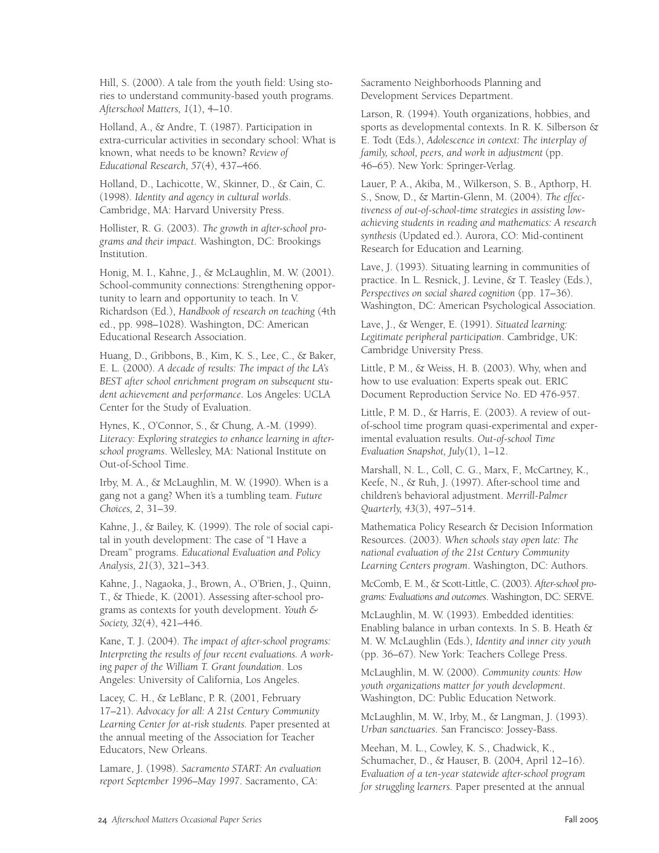Hill, S. (2000). A tale from the youth field: Using stories to understand community-based youth programs. *Afterschool Matters, 1*(1), 4–10.

Holland, A., & Andre, T. (1987). Participation in extra-curricular activities in secondary school: What is known, what needs to be known? *Review of Educational Research, 57*(4), 437–466.

Holland, D., Lachicotte, W., Skinner, D., & Cain, C. (1998). *Identity and agency in cultural worlds*. Cambridge, MA: Harvard University Press.

Hollister, R. G. (2003). *The growth in after-school programs and their impact*. Washington, DC: Brookings Institution.

Honig, M. I., Kahne, J., & McLaughlin, M. W. (2001). School-community connections: Strengthening opportunity to learn and opportunity to teach. In V. Richardson (Ed.), *Handbook of research on teaching* (4th ed., pp. 998–1028). Washington, DC: American Educational Research Association.

Huang, D., Gribbons, B., Kim, K. S., Lee, C., & Baker, E. L. (2000). *A decade of results: The impact of the LA's BEST after school enrichment program on subsequent student achievement and performance*. Los Angeles: UCLA Center for the Study of Evaluation.

Hynes, K., O'Connor, S., & Chung, A.-M. (1999). *Literacy: Exploring strategies to enhance learning in afterschool programs*. Wellesley, MA: National Institute on Out-of-School Time.

Irby, M. A., & McLaughlin, M. W. (1990). When is a gang not a gang? When it's a tumbling team. *Future Choices, 2*, 31–39.

Kahne, J., & Bailey, K. (1999). The role of social capital in youth development: The case of "I Have a Dream" programs. *Educational Evaluation and Policy Analysis, 21*(3), 321–343.

Kahne, J., Nagaoka, J., Brown, A., O'Brien, J., Quinn, T., & Thiede, K. (2001). Assessing after-school programs as contexts for youth development. *Youth & Society, 32*(4), 421–446.

Kane, T. J. (2004). *The impact of after-school programs: Interpreting the results of four recent evaluations. A working paper of the William T. Grant foundation*. Los Angeles: University of California, Los Angeles.

Lacey, C. H., & LeBlanc, P. R. (2001, February 17–21). *Advocacy for all: A 21st Century Community Learning Center for at-risk students.* Paper presented at the annual meeting of the Association for Teacher Educators, New Orleans.

Lamare, J. (1998). *Sacramento START: An evaluation report September 1996–May 1997*. Sacramento, CA:

Sacramento Neighborhoods Planning and Development Services Department.

Larson, R. (1994). Youth organizations, hobbies, and sports as developmental contexts. In R. K. Silberson & E. Todt (Eds.), *Adolescence in context: The interplay of family, school, peers, and work in adjustment* (pp. 46–65). New York: Springer-Verlag.

Lauer, P. A., Akiba, M., Wilkerson, S. B., Apthorp, H. S., Snow, D., & Martin-Glenn, M. (2004). *The effectiveness of out-of-school-time strategies in assisting lowachieving students in reading and mathematics: A research synthesis* (Updated ed.). Aurora, CO: Mid-continent Research for Education and Learning.

Lave, J. (1993). Situating learning in communities of practice. In L. Resnick, J. Levine, & T. Teasley (Eds.), *Perspectives on social shared cognition* (pp. 17–36). Washington, DC: American Psychological Association.

Lave, J., & Wenger, E. (1991). *Situated learning: Legitimate peripheral participation*. Cambridge, UK: Cambridge University Press.

Little, P. M., & Weiss, H. B. (2003). Why, when and how to use evaluation: Experts speak out. ERIC Document Reproduction Service No. ED 476-957.

Little, P. M. D., & Harris, E. (2003). A review of outof-school time program quasi-experimental and experimental evaluation results. *Out-of-school Time Evaluation Snapshot, July*(1), 1–12.

Marshall, N. L., Coll, C. G., Marx, F., McCartney, K., Keefe, N., & Ruh, J. (1997). After-school time and children's behavioral adjustment. *Merrill-Palmer Quarterly, 43*(3), 497–514.

Mathematica Policy Research & Decision Information Resources. (2003). *When schools stay open late: The national evaluation of the 21st Century Community Learning Centers program*. Washington, DC: Authors.

McComb, E. M., & Scott-Little, C. (2003). *After-school programs: Evaluations and outcomes*. Washington, DC: SERVE.

McLaughlin, M. W. (1993). Embedded identities: Enabling balance in urban contexts. In S. B. Heath & M. W. McLaughlin (Eds.), *Identity and inner city youth* (pp. 36–67). New York: Teachers College Press.

McLaughlin, M. W. (2000). *Community counts: How youth organizations matter for youth development*. Washington, DC: Public Education Network.

McLaughlin, M. W., Irby, M., & Langman, J. (1993). *Urban sanctuaries*. San Francisco: Jossey-Bass.

Meehan, M. L., Cowley, K. S., Chadwick, K., Schumacher, D., & Hauser, B. (2004, April 12–16). *Evaluation of a ten-year statewide after-school program for struggling learners.* Paper presented at the annual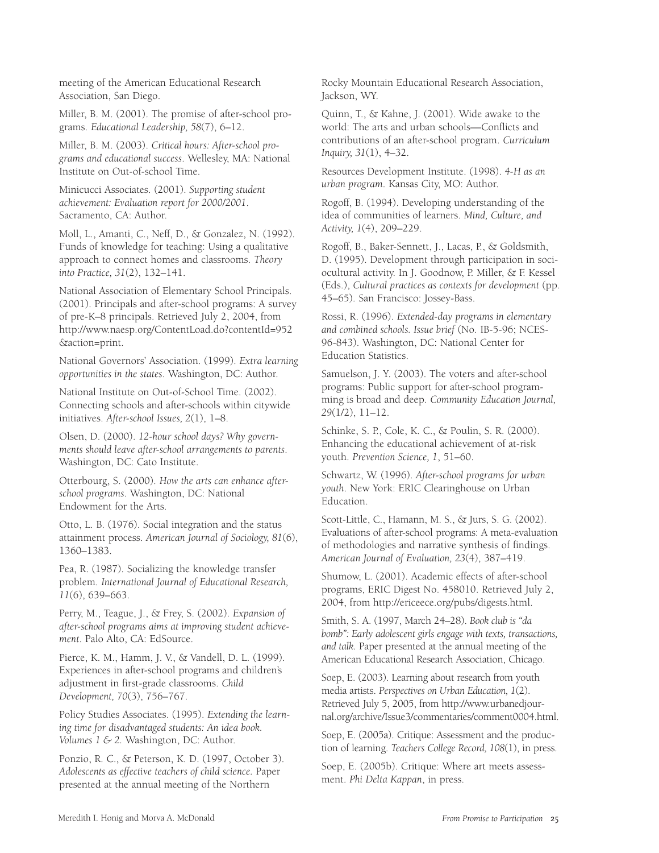meeting of the American Educational Research Association, San Diego.

Miller, B. M. (2001). The promise of after-school programs. *Educational Leadership, 58*(7), 6–12.

Miller, B. M. (2003). *Critical hours: After-school programs and educational success*. Wellesley, MA: National Institute on Out-of-school Time.

Minicucci Associates. (2001). *Supporting student achievement: Evaluation report for 2000/2001*. Sacramento, CA: Author.

Moll, L., Amanti, C., Neff, D., & Gonzalez, N. (1992). Funds of knowledge for teaching: Using a qualitative approach to connect homes and classrooms. *Theory into Practice, 31*(2), 132–141.

National Association of Elementary School Principals. (2001). Principals and after-school programs: A survey of pre-K–8 principals. Retrieved July 2, 2004, from http://www.naesp.org/ContentLoad.do?contentId=952 &action=print.

National Governors' Association. (1999). *Extra learning opportunities in the states*. Washington, DC: Author.

National Institute on Out-of-School Time. (2002). Connecting schools and after-schools within citywide initiatives. *After-school Issues, 2*(1), 1–8.

Olsen, D. (2000). *12-hour school days? Why governments should leave after-school arrangements to parents*. Washington, DC: Cato Institute.

Otterbourg, S. (2000). *How the arts can enhance afterschool programs*. Washington, DC: National Endowment for the Arts.

Otto, L. B. (1976). Social integration and the status attainment process. *American Journal of Sociology, 81*(6), 1360–1383.

Pea, R. (1987). Socializing the knowledge transfer problem. *International Journal of Educational Research, 11*(6), 639–663.

Perry, M., Teague, J., & Frey, S. (2002). *Expansion of after-school programs aims at improving student achievement*. Palo Alto, CA: EdSource.

Pierce, K. M., Hamm, J. V., & Vandell, D. L. (1999). Experiences in after-school programs and children's adjustment in first-grade classrooms. *Child Development, 70*(3), 756–767.

Policy Studies Associates. (1995). *Extending the learning time for disadvantaged students: An idea book. Volumes 1 & 2.* Washington, DC: Author.

Ponzio, R. C., & Peterson, K. D. (1997, October 3). *Adolescents as effective teachers of child science.* Paper presented at the annual meeting of the Northern

Rocky Mountain Educational Research Association, Jackson, WY.

Quinn, T., & Kahne, J. (2001). Wide awake to the world: The arts and urban schools—Conflicts and contributions of an after-school program. *Curriculum Inquiry, 31*(1), 4–32.

Resources Development Institute. (1998). *4-H as an urban program*. Kansas City, MO: Author.

Rogoff, B. (1994). Developing understanding of the idea of communities of learners. *Mind, Culture, and Activity, 1*(4), 209–229.

Rogoff, B., Baker-Sennett, J., Lacas, P., & Goldsmith, D. (1995). Development through participation in sociocultural activity. In J. Goodnow, P. Miller, & F. Kessel (Eds.), *Cultural practices as contexts for development* (pp. 45–65). San Francisco: Jossey-Bass.

Rossi, R. (1996). *Extended-day programs in elementary and combined schools. Issue brief* (No. IB-5-96; NCES-96-843). Washington, DC: National Center for Education Statistics.

Samuelson, J. Y. (2003). The voters and after-school programs: Public support for after-school programming is broad and deep. *Community Education Journal, 29*(1/2), 11–12.

Schinke, S. P., Cole, K. C., & Poulin, S. R. (2000). Enhancing the educational achievement of at-risk youth. *Prevention Science, 1*, 51–60.

Schwartz, W. (1996). *After-school programs for urban youth*. New York: ERIC Clearinghouse on Urban Education.

Scott-Little, C., Hamann, M. S., & Jurs, S. G. (2002). Evaluations of after-school programs: A meta-evaluation of methodologies and narrative synthesis of findings. *American Journal of Evaluation, 23*(4), 387–419.

Shumow, L. (2001). Academic effects of after-school programs, ERIC Digest No. 458010. Retrieved July 2, 2004, from http://ericeece.org/pubs/digests.html.

Smith, S. A. (1997, March 24–28). *Book club is "da bomb": Early adolescent girls engage with texts, transactions, and talk.* Paper presented at the annual meeting of the American Educational Research Association, Chicago.

Soep, E. (2003). Learning about research from youth media artists. *Perspectives on Urban Education, 1*(2). Retrieved July 5, 2005, from http://www.urbanedjournal.org/archive/Issue3/commentaries/comment0004.html.

Soep, E. (2005a). Critique: Assessment and the production of learning. *Teachers College Record, 108*(1), in press.

Soep, E. (2005b). Critique: Where art meets assessment. *Phi Delta Kappan*, in press.